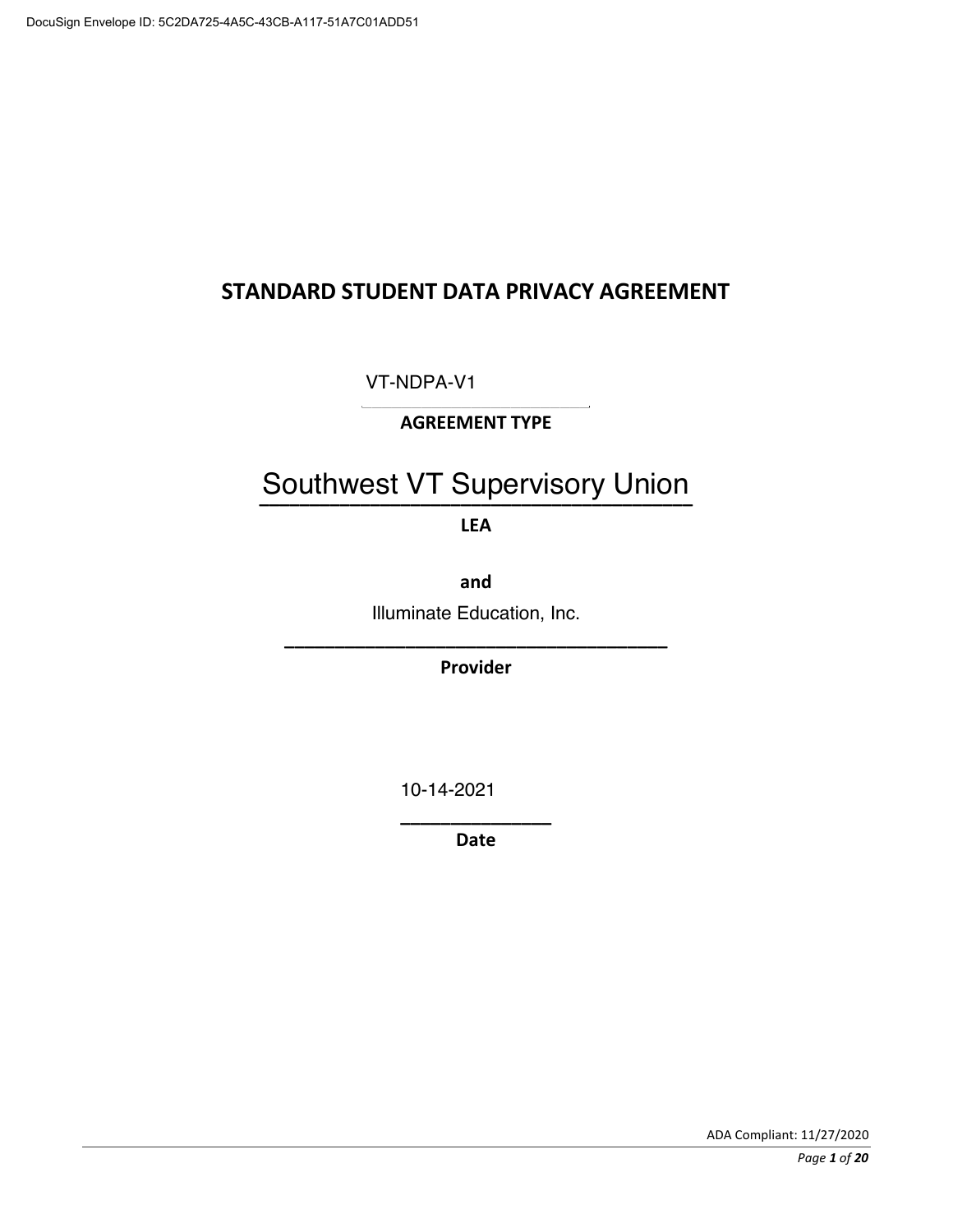## STANDARD STUDENT DATA PRIVACY AGREEMENT

**<<<<<<<<<<<<<<<<<<<<<<<** VT-NDPA-V1

## **AGREEMENT TYPE**

## Southwest VT Supervisory Union

**LEA** 

**(**

Illuminate Education, Inc.

**<<<<<<<<<<<<<<<<<<<<<<<<<<<<<<<<<<<<<< Provider** 

10-14-2021

-----------------------Date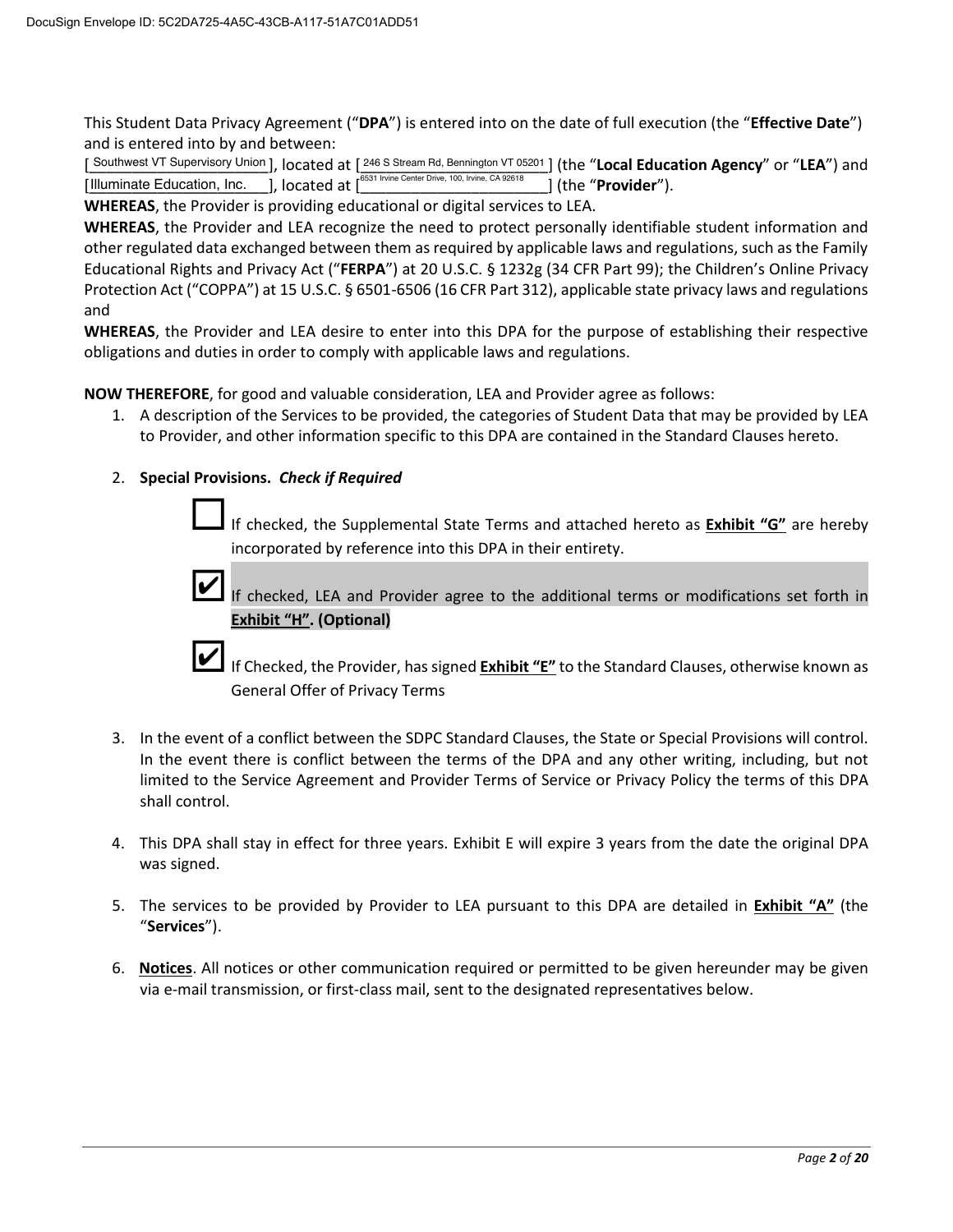This Student Data Privacy Agreement ("DPA") is entered into on the date of full execution (the "Effective Date") and is entered into by and between:

[Southwest VT Supervisory Union], located at [246 S Stream Rd, Bennington VT 05201] (the "Local Education Agency" or "LEA") and  $\frac{1}{6531}$  Irvi ] (the "Provider"). 

WHEREAS, the Provider is providing educational or digital services to LEA.

WHEREAS, the Provider and LEA recognize the need to protect personally identifiable student information and other regulated data exchanged between them as required by applicable laws and regulations, such as the Family Educational Rights and Privacy Act ("FERPA") at 20 U.S.C. § 1232g (34 CFR Part 99); the Children's Online Privacy Protection Act ("COPPA") at 15 U.S.C. § 6501-6506 (16 CFR Part 312), applicable state privacy laws and regulations and

WHEREAS, the Provider and LEA desire to enter into this DPA for the purpose of establishing their respective obligations and duties in order to comply with applicable laws and regulations.

NOW THEREFORE, for good and valuable consideration, LEA and Provider agree as follows:

1. A description of the Services to be provided, the categories of Student Data that may be provided by LEA to Provider, and other information specific to this DPA are contained in the Standard Clauses hereto.

### 2. Special Provisions. Check if Required

If checked, the Supplemental State Terms and attached hereto as Exhibit "G" are hereby incorporated by reference into this DPA in their entirety.



If checked, LEA and Provider agree to the additional terms or modifications set forth in **Exhibit "H". (Optional)** 

If Checked, the Provider, has signed Exhibit "E" to the Standard Clauses, otherwise known as **General Offer of Privacy Terms** 

- 3. In the event of a conflict between the SDPC Standard Clauses, the State or Special Provisions will control. In the event there is conflict between the terms of the DPA and any other writing, including, but not limited to the Service Agreement and Provider Terms of Service or Privacy Policy the terms of this DPA shall control.
- 4. This DPA shall stay in effect for three years. Exhibit E will expire 3 years from the date the original DPA was signed.
- 5. The services to be provided by Provider to LEA pursuant to this DPA are detailed in Exhibit "A" (the "Services").
- 6. Notices. All notices or other communication required or permitted to be given hereunder may be given via e-mail transmission, or first-class mail, sent to the designated representatives below.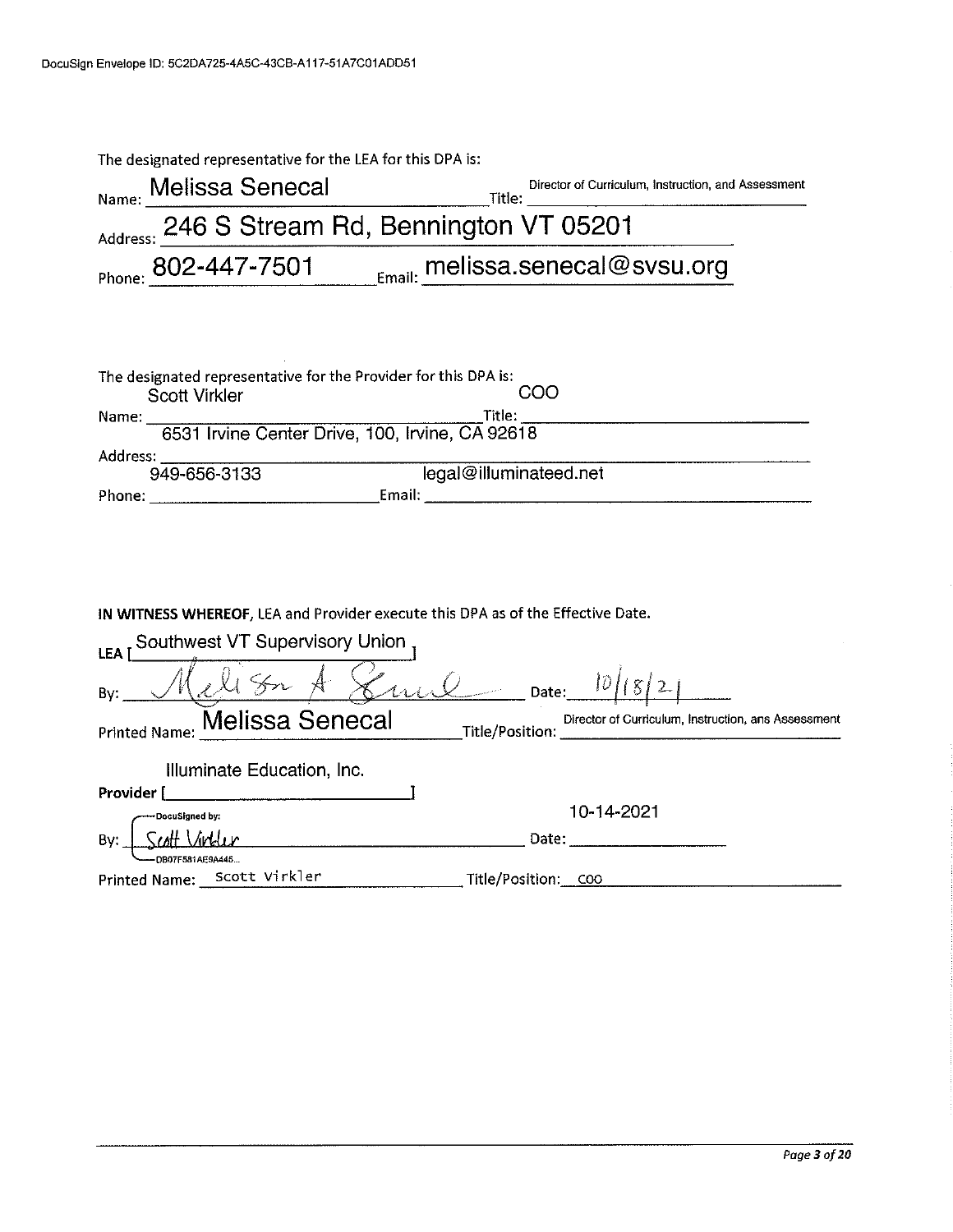| The designated representative for the LEA for this DPA is:                                     |
|------------------------------------------------------------------------------------------------|
| Director of Curriculum, Instruction, and Assessment<br>Melissa Senecal<br>Name:<br>Title:      |
| Address: 246 S Stream Rd, Bennington VT 05201                                                  |
| Phone: 802-447-7501 Email: melissa.senecal@svsu.org                                            |
|                                                                                                |
|                                                                                                |
| The designated representative for the Provider for this DPA is:<br>COO<br><b>Scott Virkler</b> |
| Title:<br>Name:<br>6531 Irvine Center Drive, 100, Irvine, CA 92618                             |
|                                                                                                |
| Address:<br>949-656-3133<br>legal@illuminateed.net                                             |
|                                                                                                |
| IN WITNESS WHEREOF, LEA and Provider execute this DPA as of the Effective Date.                |
| Southwest VT Supervisory Union<br>LEA I                                                        |
| $6412$ Date: $10/18/2$<br>By:                                                                  |
| Melissa Senecal<br>Director of Curriculum, Instruction, ans Assessment<br><b>Printed Name:</b> |
| Illuminate Education, Inc.                                                                     |
| Provider [                                                                                     |
| 10-14-2021<br><b>DocuSigned by:</b>                                                            |
| Date:<br>By:                                                                                   |
| DB07F581AE9A446                                                                                |
| Printed Name: Scott Virkler<br>Title/Position: COO                                             |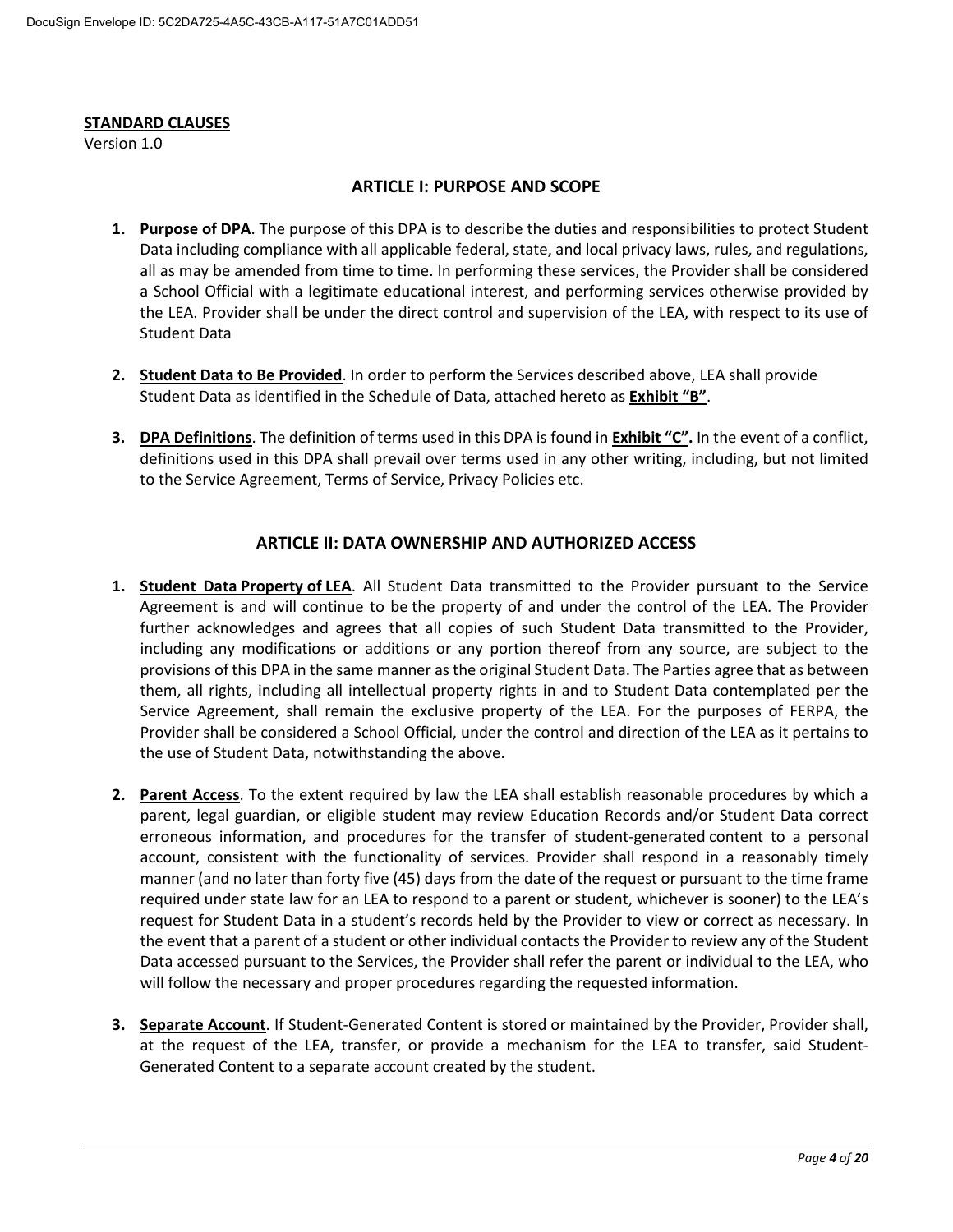#### **STANDARD CLAUSES**

Version 1.0

### **ARTICLE I: PURPOSE AND SCOPE**

- 1. Purpose of DPA. The purpose of this DPA is to describe the duties and responsibilities to protect Student Data including compliance with all applicable federal, state, and local privacy laws, rules, and regulations, all as may be amended from time to time. In performing these services, the Provider shall be considered a School Official with a legitimate educational interest, and performing services otherwise provided by the LEA. Provider shall be under the direct control and supervision of the LEA, with respect to its use of **Student Data**
- 2. Student Data to Be Provided. In order to perform the Services described above, LEA shall provide Student Data as identified in the Schedule of Data, attached hereto as Exhibit "B".
- 3. DPA Definitions. The definition of terms used in this DPA is found in Exhibit "C". In the event of a conflict, definitions used in this DPA shall prevail over terms used in any other writing, including, but not limited to the Service Agreement, Terms of Service, Privacy Policies etc.

### **ARTICLE II: DATA OWNERSHIP AND AUTHORIZED ACCESS**

- 1. Student Data Property of LEA. All Student Data transmitted to the Provider pursuant to the Service Agreement is and will continue to be the property of and under the control of the LEA. The Provider further acknowledges and agrees that all copies of such Student Data transmitted to the Provider, including any modifications or additions or any portion thereof from any source, are subject to the provisions of this DPA in the same manner as the original Student Data. The Parties agree that as between them, all rights, including all intellectual property rights in and to Student Data contemplated per the Service Agreement, shall remain the exclusive property of the LEA. For the purposes of FERPA, the Provider shall be considered a School Official, under the control and direction of the LEA as it pertains to the use of Student Data, notwithstanding the above.
- 2. Parent Access. To the extent required by law the LEA shall establish reasonable procedures by which a parent, legal guardian, or eligible student may review Education Records and/or Student Data correct erroneous information, and procedures for the transfer of student-generated content to a personal account, consistent with the functionality of services. Provider shall respond in a reasonably timely manner (and no later than forty five (45) days from the date of the request or pursuant to the time frame required under state law for an LEA to respond to a parent or student, whichever is sooner) to the LEA's request for Student Data in a student's records held by the Provider to view or correct as necessary. In the event that a parent of a student or other individual contacts the Provider to review any of the Student Data accessed pursuant to the Services, the Provider shall refer the parent or individual to the LEA, who will follow the necessary and proper procedures regarding the requested information.
- 3. Separate Account. If Student-Generated Content is stored or maintained by the Provider, Provider shall, at the request of the LEA, transfer, or provide a mechanism for the LEA to transfer, said Student-Generated Content to a separate account created by the student.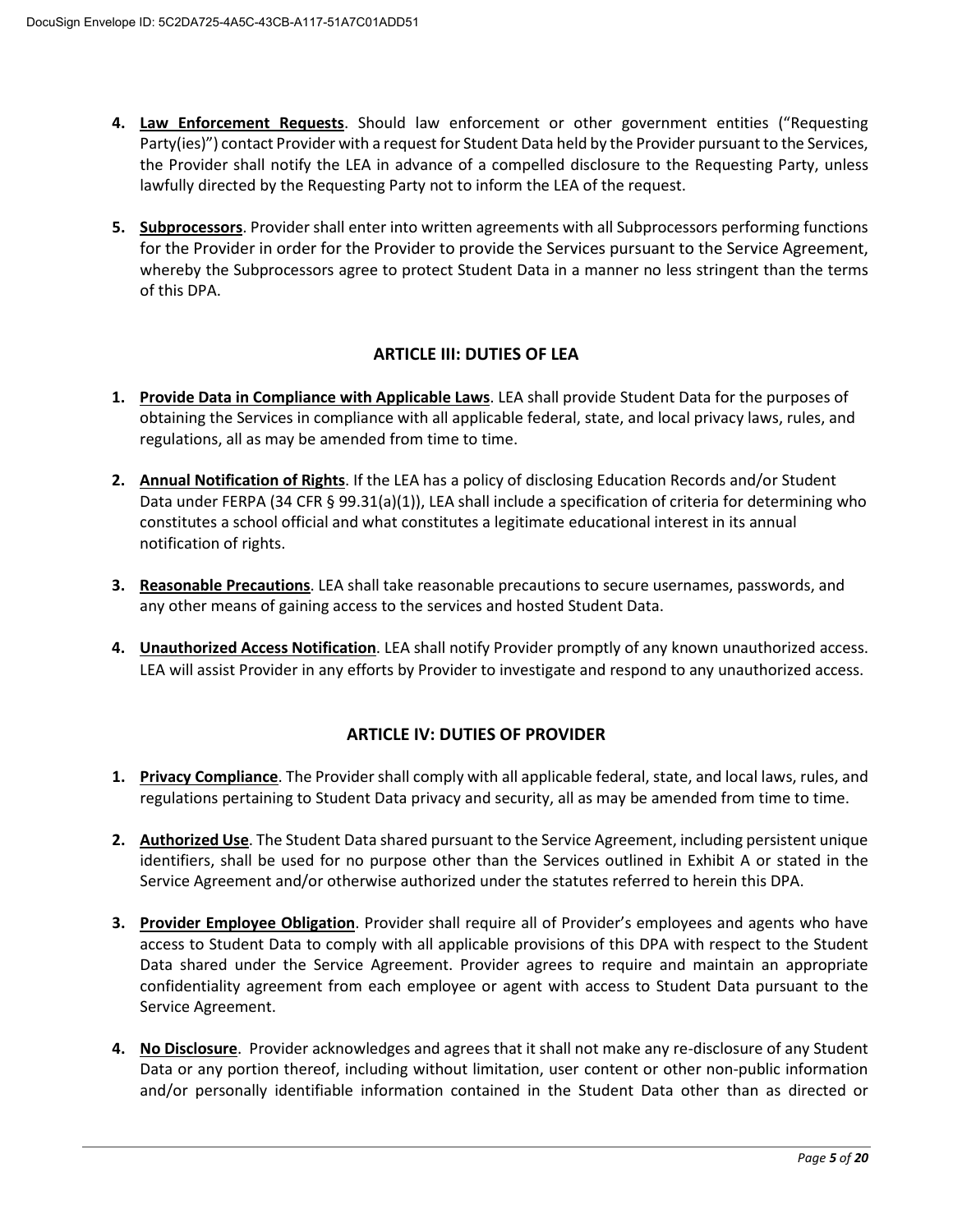- 4. Law Enforcement Requests. Should law enforcement or other government entities ("Requesting Party(ies)") contact Provider with a request for Student Data held by the Provider pursuant to the Services, the Provider shall notify the LEA in advance of a compelled disclosure to the Requesting Party, unless lawfully directed by the Requesting Party not to inform the LEA of the request.
- 5. Subprocessors. Provider shall enter into written agreements with all Subprocessors performing functions for the Provider in order for the Provider to provide the Services pursuant to the Service Agreement, whereby the Subprocessors agree to protect Student Data in a manner no less stringent than the terms of this DPA.

### **ARTICLE III: DUTIES OF LEA**

- 1. Provide Data in Compliance with Applicable Laws. LEA shall provide Student Data for the purposes of obtaining the Services in compliance with all applicable federal, state, and local privacy laws, rules, and regulations, all as may be amended from time to time.
- 2. Annual Notification of Rights. If the LEA has a policy of disclosing Education Records and/or Student Data under FERPA (34 CFR § 99.31(a)(1)), LEA shall include a specification of criteria for determining who constitutes a school official and what constitutes a legitimate educational interest in its annual notification of rights.
- 3. Reasonable Precautions. LEA shall take reasonable precautions to secure usernames, passwords, and any other means of gaining access to the services and hosted Student Data.
- 4. Unauthorized Access Notification. LEA shall notify Provider promptly of any known unauthorized access. LEA will assist Provider in any efforts by Provider to investigate and respond to any unauthorized access.

### **ARTICLE IV: DUTIES OF PROVIDER**

- 1. Privacy Compliance. The Provider shall comply with all applicable federal, state, and local laws, rules, and regulations pertaining to Student Data privacy and security, all as may be amended from time to time.
- 2. Authorized Use. The Student Data shared pursuant to the Service Agreement, including persistent unique identifiers, shall be used for no purpose other than the Services outlined in Exhibit A or stated in the Service Agreement and/or otherwise authorized under the statutes referred to herein this DPA.
- 3. Provider Employee Obligation. Provider shall require all of Provider's employees and agents who have access to Student Data to comply with all applicable provisions of this DPA with respect to the Student Data shared under the Service Agreement. Provider agrees to require and maintain an appropriate confidentiality agreement from each employee or agent with access to Student Data pursuant to the Service Agreement.
- 4. No Disclosure. Provider acknowledges and agrees that it shall not make any re-disclosure of any Student Data or any portion thereof, including without limitation, user content or other non-public information and/or personally identifiable information contained in the Student Data other than as directed or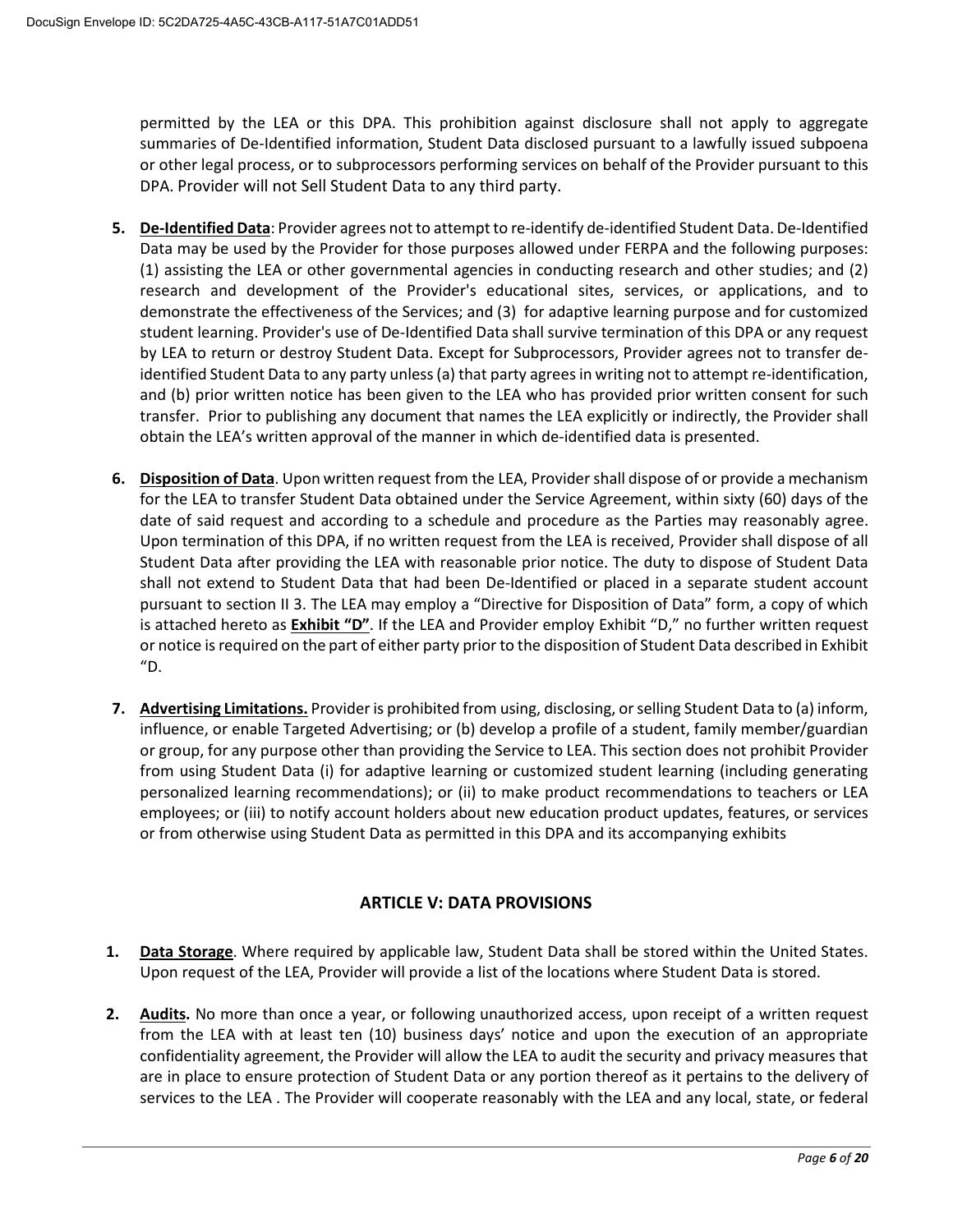permitted by the LEA or this DPA. This prohibition against disclosure shall not apply to aggregate summaries of De-Identified information, Student Data disclosed pursuant to a lawfully issued subpoena or other legal process, or to subprocessors performing services on behalf of the Provider pursuant to this DPA. Provider will not Sell Student Data to any third party.

- 5. De-Identified Data: Provider agrees not to attempt to re-identify de-identified Student Data. De-Identified Data may be used by the Provider for those purposes allowed under FERPA and the following purposes: (1) assisting the LEA or other governmental agencies in conducting research and other studies; and (2) research and development of the Provider's educational sites, services, or applications, and to demonstrate the effectiveness of the Services; and (3) for adaptive learning purpose and for customized student learning. Provider's use of De-Identified Data shall survive termination of this DPA or any request by LEA to return or destroy Student Data. Except for Subprocessors, Provider agrees not to transfer deidentified Student Data to any party unless (a) that party agrees in writing not to attempt re-identification, and (b) prior written notice has been given to the LEA who has provided prior written consent for such transfer. Prior to publishing any document that names the LEA explicitly or indirectly, the Provider shall obtain the LEA's written approval of the manner in which de-identified data is presented.
- 6. Disposition of Data. Upon written request from the LEA, Provider shall dispose of or provide a mechanism for the LEA to transfer Student Data obtained under the Service Agreement, within sixty (60) days of the date of said request and according to a schedule and procedure as the Parties may reasonably agree. Upon termination of this DPA, if no written request from the LEA is received, Provider shall dispose of all Student Data after providing the LEA with reasonable prior notice. The duty to dispose of Student Data shall not extend to Student Data that had been De-Identified or placed in a separate student account pursuant to section II 3. The LEA may employ a "Directive for Disposition of Data" form, a copy of which is attached hereto as Exhibit "D". If the LEA and Provider employ Exhibit "D," no further written request or notice is required on the part of either party prior to the disposition of Student Data described in Exhibit  $^{\prime\prime}$ D.
- 7. Advertising Limitations. Provider is prohibited from using, disclosing, or selling Student Data to (a) inform, influence, or enable Targeted Advertising; or (b) develop a profile of a student, family member/guardian or group, for any purpose other than providing the Service to LEA. This section does not prohibit Provider from using Student Data (i) for adaptive learning or customized student learning (including generating personalized learning recommendations); or (ii) to make product recommendations to teachers or LEA employees; or (iii) to notify account holders about new education product updates, features, or services or from otherwise using Student Data as permitted in this DPA and its accompanying exhibits

## **ARTICLE V: DATA PROVISIONS**

- 1. Data Storage. Where required by applicable law, Student Data shall be stored within the United States. Upon request of the LEA, Provider will provide a list of the locations where Student Data is stored.
- 2. Audits. No more than once a year, or following unauthorized access, upon receipt of a written request from the LEA with at least ten (10) business days' notice and upon the execution of an appropriate confidentiality agreement, the Provider will allow the LEA to audit the security and privacy measures that are in place to ensure protection of Student Data or any portion thereof as it pertains to the delivery of services to the LEA. The Provider will cooperate reasonably with the LEA and any local, state, or federal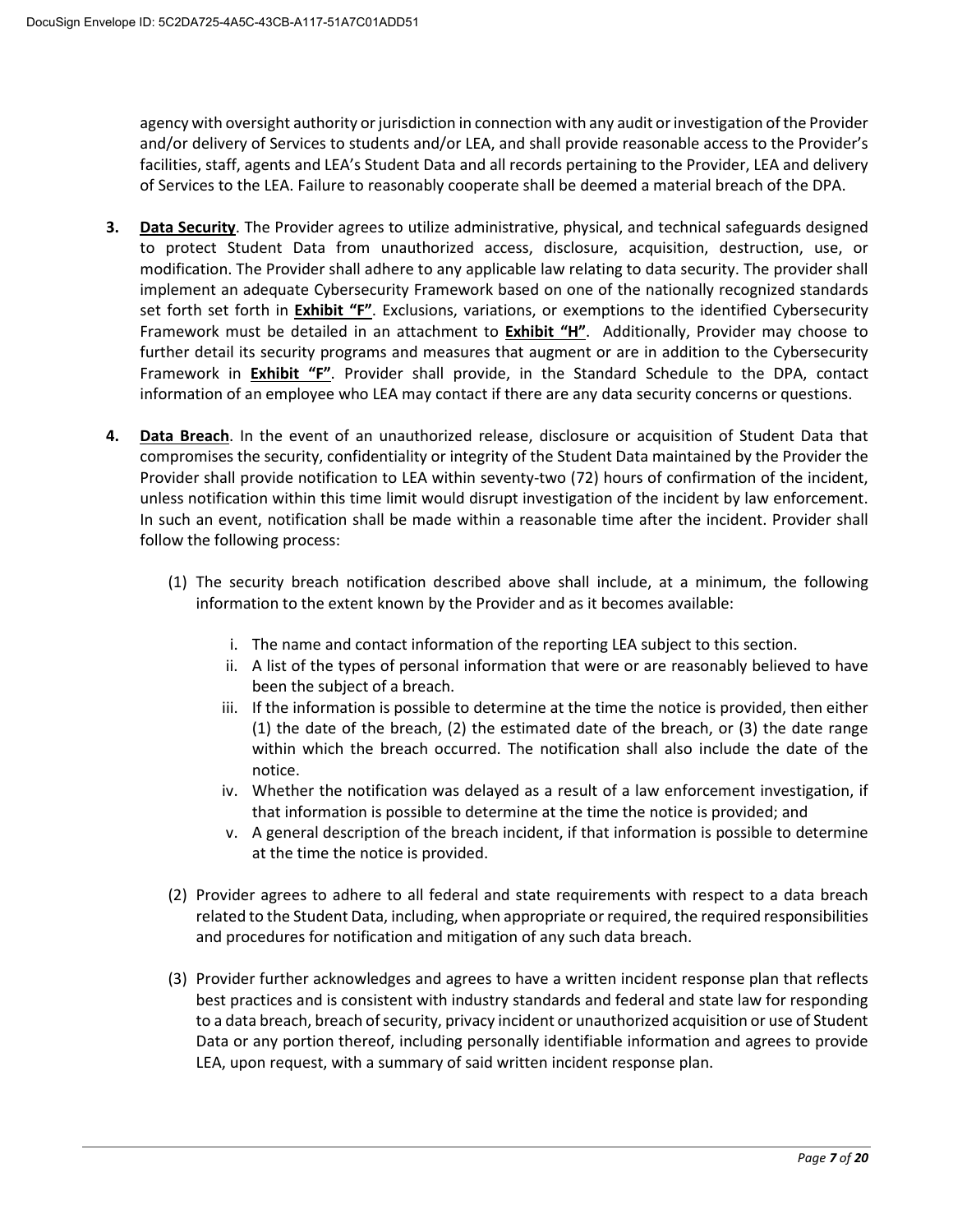agency with oversight authority or jurisdiction in connection with any audit or investigation of the Provider and/or delivery of Services to students and/or LEA, and shall provide reasonable access to the Provider's facilities, staff, agents and LEA's Student Data and all records pertaining to the Provider, LEA and delivery of Services to the LEA. Failure to reasonably cooperate shall be deemed a material breach of the DPA.

- Data Security. The Provider agrees to utilize administrative, physical, and technical safeguards designed  $3.$ to protect Student Data from unauthorized access, disclosure, acquisition, destruction, use, or modification. The Provider shall adhere to any applicable law relating to data security. The provider shall implement an adequate Cybersecurity Framework based on one of the nationally recognized standards set forth set forth in *Exhibit "F"*. Exclusions, variations, or exemptions to the identified Cybersecurity Framework must be detailed in an attachment to Exhibit "H". Additionally, Provider may choose to further detail its security programs and measures that augment or are in addition to the Cybersecurity Framework in **Exhibit "F"**. Provider shall provide, in the Standard Schedule to the DPA, contact information of an employee who LEA may contact if there are any data security concerns or questions.
- 4. Data Breach. In the event of an unauthorized release, disclosure or acquisition of Student Data that compromises the security, confidentiality or integrity of the Student Data maintained by the Provider the Provider shall provide notification to LEA within seventy-two (72) hours of confirmation of the incident, unless notification within this time limit would disrupt investigation of the incident by law enforcement. In such an event, notification shall be made within a reasonable time after the incident. Provider shall follow the following process:
	- (1) The security breach notification described above shall include, at a minimum, the following information to the extent known by the Provider and as it becomes available:
		- i. The name and contact information of the reporting LEA subject to this section.
		- ii. A list of the types of personal information that were or are reasonably believed to have been the subject of a breach.
		- iii. If the information is possible to determine at the time the notice is provided, then either  $(1)$  the date of the breach,  $(2)$  the estimated date of the breach, or  $(3)$  the date range within which the breach occurred. The notification shall also include the date of the notice.
		- iv. Whether the notification was delayed as a result of a law enforcement investigation, if that information is possible to determine at the time the notice is provided; and
		- v. A general description of the breach incident, if that information is possible to determine at the time the notice is provided.
	- (2) Provider agrees to adhere to all federal and state requirements with respect to a data breach related to the Student Data, including, when appropriate or required, the required responsibilities and procedures for notification and mitigation of any such data breach.
	- (3) Provider further acknowledges and agrees to have a written incident response plan that reflects best practices and is consistent with industry standards and federal and state law for responding to a data breach, breach of security, privacy incident or unauthorized acquisition or use of Student Data or any portion thereof, including personally identifiable information and agrees to provide LEA, upon request, with a summary of said written incident response plan.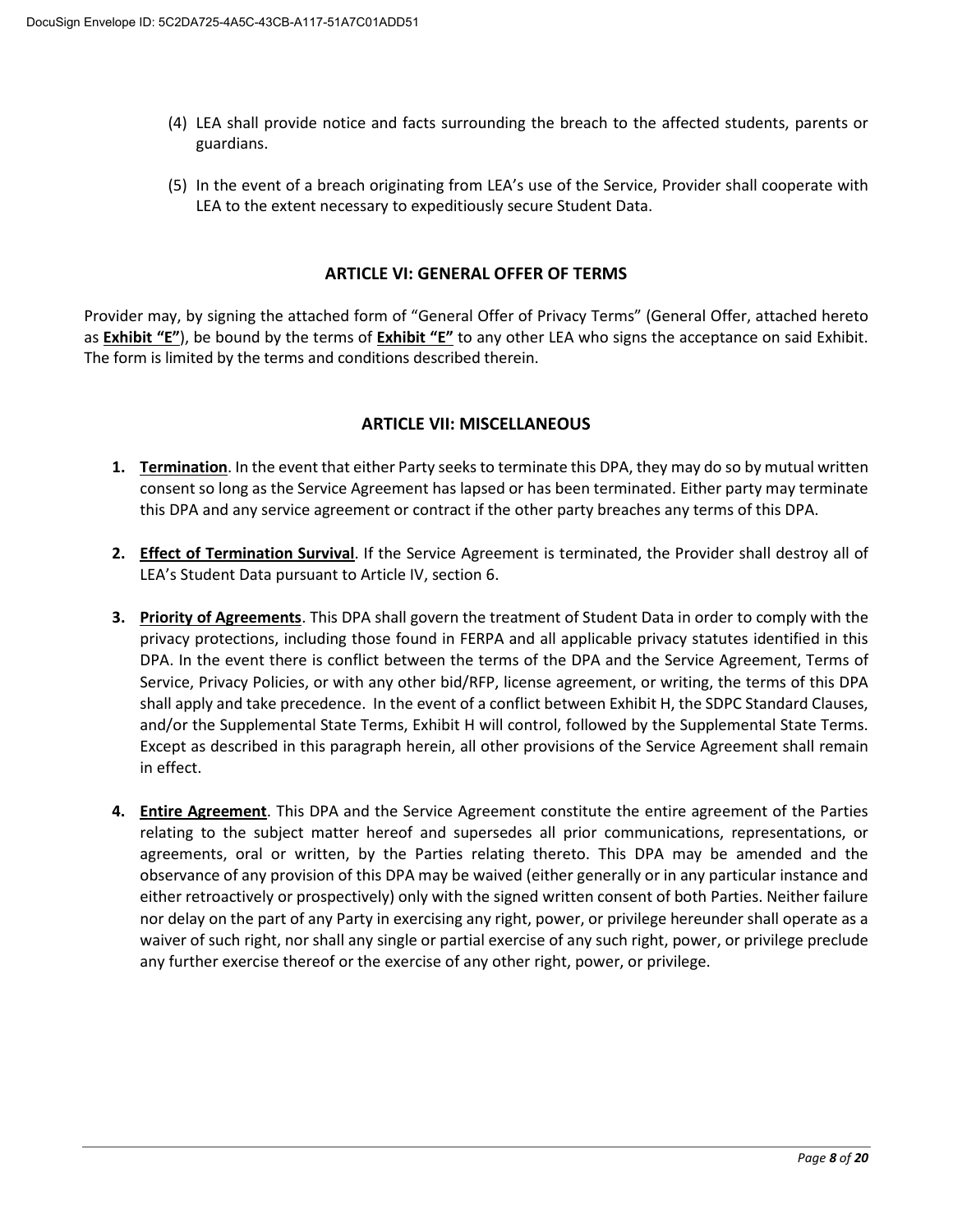- (4) LEA shall provide notice and facts surrounding the breach to the affected students, parents or guardians.
- (5) In the event of a breach originating from LEA's use of the Service, Provider shall cooperate with LEA to the extent necessary to expeditiously secure Student Data.

### **ARTICLE VI: GENERAL OFFER OF TERMS**

Provider may, by signing the attached form of "General Offer of Privacy Terms" (General Offer, attached hereto as **Exhibit "E"**), be bound by the terms of **Exhibit "E"** to any other LEA who signs the acceptance on said Exhibit. The form is limited by the terms and conditions described therein.

### **ARTICLE VII: MISCELLANEOUS**

- 1. Termination. In the event that either Party seeks to terminate this DPA, they may do so by mutual written consent so long as the Service Agreement has lapsed or has been terminated. Either party may terminate this DPA and any service agreement or contract if the other party breaches any terms of this DPA.
- 2. Effect of Termination Survival. If the Service Agreement is terminated, the Provider shall destroy all of LEA's Student Data pursuant to Article IV, section 6.
- 3. Priority of Agreements. This DPA shall govern the treatment of Student Data in order to comply with the privacy protections, including those found in FERPA and all applicable privacy statutes identified in this DPA. In the event there is conflict between the terms of the DPA and the Service Agreement, Terms of Service, Privacy Policies, or with any other bid/RFP, license agreement, or writing, the terms of this DPA shall apply and take precedence. In the event of a conflict between Exhibit H, the SDPC Standard Clauses, and/or the Supplemental State Terms, Exhibit H will control, followed by the Supplemental State Terms. Except as described in this paragraph herein, all other provisions of the Service Agreement shall remain in effect.
- 4. Entire Agreement. This DPA and the Service Agreement constitute the entire agreement of the Parties relating to the subject matter hereof and supersedes all prior communications, representations, or agreements, oral or written, by the Parties relating thereto. This DPA may be amended and the observance of any provision of this DPA may be waived (either generally or in any particular instance and either retroactively or prospectively) only with the signed written consent of both Parties. Neither failure nor delay on the part of any Party in exercising any right, power, or privilege hereunder shall operate as a waiver of such right, nor shall any single or partial exercise of any such right, power, or privilege preclude any further exercise thereof or the exercise of any other right, power, or privilege.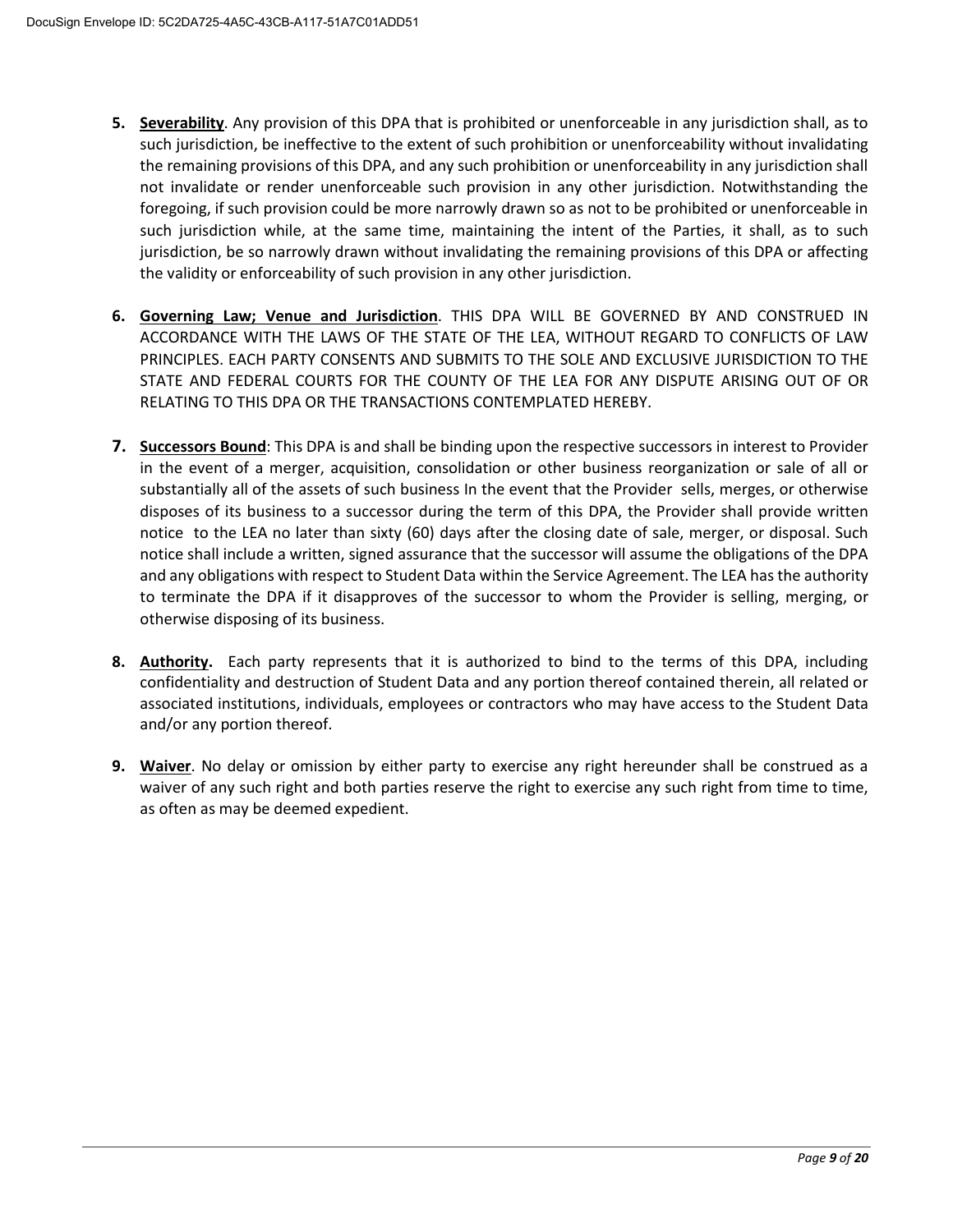- 5. Severability. Any provision of this DPA that is prohibited or unenforceable in any jurisdiction shall, as to such jurisdiction, be ineffective to the extent of such prohibition or unenforceability without invalidating the remaining provisions of this DPA, and any such prohibition or unenforceability in any jurisdiction shall not invalidate or render unenforceable such provision in any other jurisdiction. Notwithstanding the foregoing, if such provision could be more narrowly drawn so as not to be prohibited or unenforceable in such jurisdiction while, at the same time, maintaining the intent of the Parties, it shall, as to such jurisdiction, be so narrowly drawn without invalidating the remaining provisions of this DPA or affecting the validity or enforceability of such provision in any other jurisdiction.
- 6. Governing Law; Venue and Jurisdiction. THIS DPA WILL BE GOVERNED BY AND CONSTRUED IN ACCORDANCE WITH THE LAWS OF THE STATE OF THE LEA, WITHOUT REGARD TO CONFLICTS OF LAW PRINCIPLES. EACH PARTY CONSENTS AND SUBMITS TO THE SOLE AND EXCLUSIVE JURISDICTION TO THE STATE AND FEDERAL COURTS FOR THE COUNTY OF THE LEA FOR ANY DISPUTE ARISING OUT OF OR RELATING TO THIS DPA OR THE TRANSACTIONS CONTEMPLATED HEREBY.
- 7. Successors Bound: This DPA is and shall be binding upon the respective successors in interest to Provider in the event of a merger, acquisition, consolidation or other business reorganization or sale of all or substantially all of the assets of such business In the event that the Provider sells, merges, or otherwise disposes of its business to a successor during the term of this DPA, the Provider shall provide written notice to the LEA no later than sixty (60) days after the closing date of sale, merger, or disposal. Such notice shall include a written, signed assurance that the successor will assume the obligations of the DPA and any obligations with respect to Student Data within the Service Agreement. The LEA has the authority to terminate the DPA if it disapproves of the successor to whom the Provider is selling, merging, or otherwise disposing of its business.
- 8. Authority. Each party represents that it is authorized to bind to the terms of this DPA, including confidentiality and destruction of Student Data and any portion thereof contained therein, all related or associated institutions, individuals, employees or contractors who may have access to the Student Data and/or any portion thereof.
- 9. Waiver. No delay or omission by either party to exercise any right hereunder shall be construed as a waiver of any such right and both parties reserve the right to exercise any such right from time to time, as often as may be deemed expedient.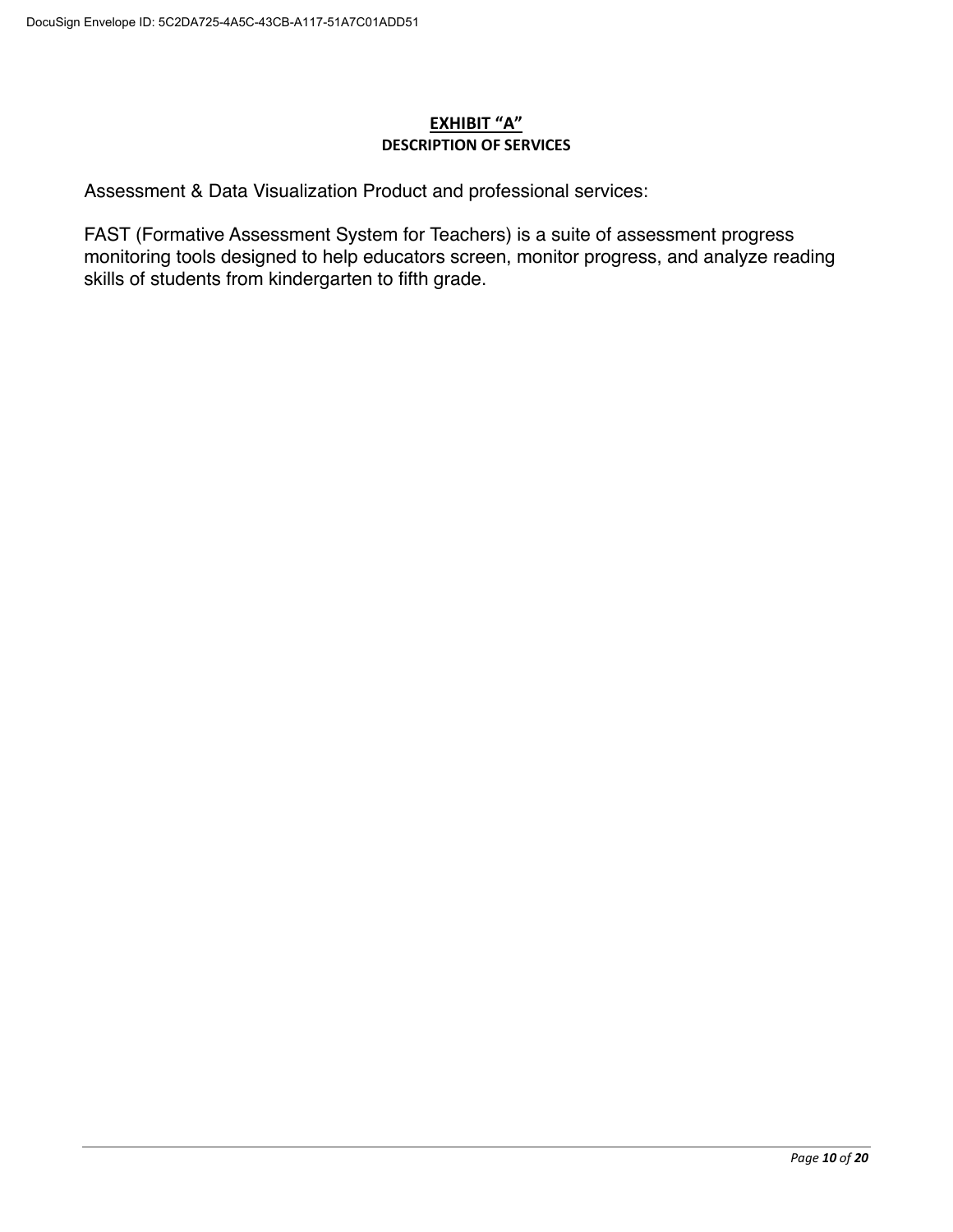## <u>EXHIBIT "A"</u> **DESCRIPTION OF SERVICES**

Assessment & Data Visualization Product and professional services:

FAST (Formative Assessment System for Teachers) is a suite of assessment progress monitoring tools designed to help educators screen, monitor progress, and analyze reading skills of students from kindergarten to fifth grade.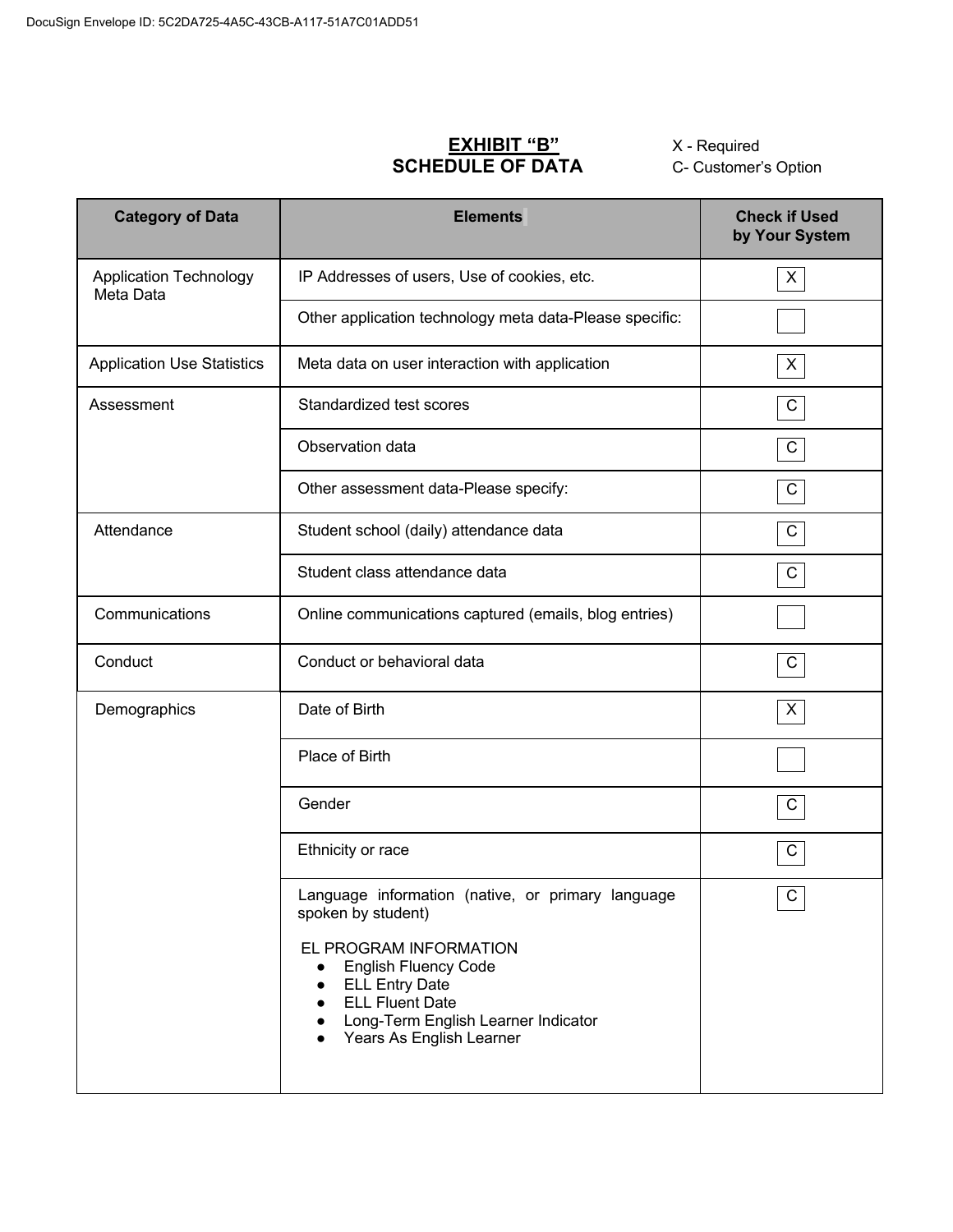# EXHIBIT "B"<br>SCHEDULE OF DATA

X - Required C- Customer's Option

| <b>Category of Data</b>                    | <b>Elements</b>                                                                                                                                                                                                                                                                               | <b>Check if Used</b><br>by Your System |
|--------------------------------------------|-----------------------------------------------------------------------------------------------------------------------------------------------------------------------------------------------------------------------------------------------------------------------------------------------|----------------------------------------|
| <b>Application Technology</b><br>Meta Data | IP Addresses of users, Use of cookies, etc.                                                                                                                                                                                                                                                   | X                                      |
|                                            | Other application technology meta data-Please specific:                                                                                                                                                                                                                                       |                                        |
| <b>Application Use Statistics</b>          | Meta data on user interaction with application                                                                                                                                                                                                                                                | X                                      |
| Assessment                                 | Standardized test scores                                                                                                                                                                                                                                                                      | $\mathsf C$                            |
|                                            | Observation data                                                                                                                                                                                                                                                                              | ${\bf C}$                              |
|                                            | Other assessment data-Please specify:                                                                                                                                                                                                                                                         | C                                      |
| Attendance                                 | Student school (daily) attendance data                                                                                                                                                                                                                                                        | $\mathsf C$                            |
|                                            | Student class attendance data                                                                                                                                                                                                                                                                 | C                                      |
| Communications                             | Online communications captured (emails, blog entries)                                                                                                                                                                                                                                         |                                        |
| Conduct                                    | Conduct or behavioral data                                                                                                                                                                                                                                                                    | $\mathsf C$                            |
| Demographics                               | Date of Birth                                                                                                                                                                                                                                                                                 | X                                      |
|                                            | Place of Birth                                                                                                                                                                                                                                                                                |                                        |
|                                            | Gender                                                                                                                                                                                                                                                                                        | C                                      |
|                                            | Ethnicity or race                                                                                                                                                                                                                                                                             | C                                      |
|                                            | Language information (native, or primary language<br>spoken by student)<br>EL PROGRAM INFORMATION<br><b>English Fluency Code</b><br>$\bullet$<br><b>ELL Entry Date</b><br>$\bullet$<br><b>ELL Fluent Date</b><br>$\bullet$<br>Long-Term English Learner Indicator<br>Years As English Learner | $\overline{C}$                         |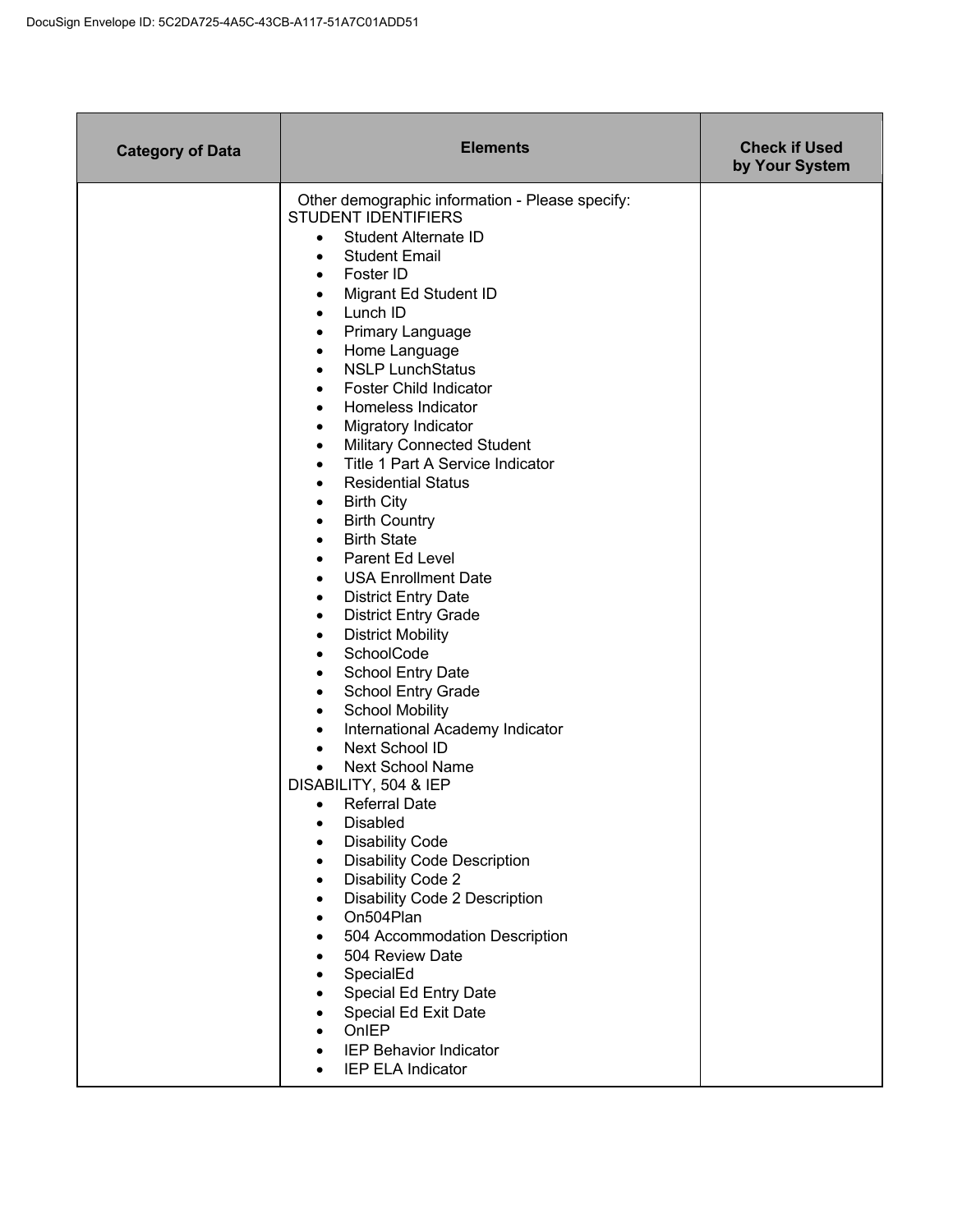| <b>Category of Data</b> | <b>Elements</b>                                                                                                                                                                                                                                                                                                                                                                                                                                                                                                                                                                                                                                                                                                                                                                                                                                                                                                                                                                                                                                                                                                                                                                                                                                                                                                                                                                                                                                                                              | <b>Check if Used</b><br>by Your System |
|-------------------------|----------------------------------------------------------------------------------------------------------------------------------------------------------------------------------------------------------------------------------------------------------------------------------------------------------------------------------------------------------------------------------------------------------------------------------------------------------------------------------------------------------------------------------------------------------------------------------------------------------------------------------------------------------------------------------------------------------------------------------------------------------------------------------------------------------------------------------------------------------------------------------------------------------------------------------------------------------------------------------------------------------------------------------------------------------------------------------------------------------------------------------------------------------------------------------------------------------------------------------------------------------------------------------------------------------------------------------------------------------------------------------------------------------------------------------------------------------------------------------------------|----------------------------------------|
|                         | Other demographic information - Please specify:<br><b>STUDENT IDENTIFIERS</b><br><b>Student Alternate ID</b><br>$\bullet$<br><b>Student Email</b><br>$\bullet$<br>Foster ID<br>$\bullet$<br>Migrant Ed Student ID<br>٠<br>Lunch ID<br>$\bullet$<br>Primary Language<br>٠<br>Home Language<br>$\bullet$<br><b>NSLP LunchStatus</b><br>$\bullet$<br>Foster Child Indicator<br>٠<br>Homeless Indicator<br>٠<br>Migratory Indicator<br>$\bullet$<br><b>Military Connected Student</b><br>$\bullet$<br>Title 1 Part A Service Indicator<br>٠<br><b>Residential Status</b><br>٠<br><b>Birth City</b><br>٠<br><b>Birth Country</b><br>٠<br><b>Birth State</b><br>٠<br>Parent Ed Level<br>٠<br><b>USA Enrollment Date</b><br>$\bullet$<br><b>District Entry Date</b><br>$\bullet$<br><b>District Entry Grade</b><br>$\bullet$<br><b>District Mobility</b><br>$\bullet$<br>SchoolCode<br>$\bullet$<br>School Entry Date<br>٠<br>School Entry Grade<br>٠<br><b>School Mobility</b><br>٠<br>International Academy Indicator<br>$\bullet$<br>Next School ID<br>$\bullet$<br><b>Next School Name</b><br>$\bullet$<br>DISABILITY, 504 & IEP<br><b>Referral Date</b><br><b>Disabled</b><br><b>Disability Code</b><br><b>Disability Code Description</b><br>Disability Code 2<br>Disability Code 2 Description<br>On504Plan<br>504 Accommodation Description<br>504 Review Date<br>SpecialEd<br>Special Ed Entry Date<br>Special Ed Exit Date<br>OnIEP<br><b>IEP Behavior Indicator</b><br>IEP ELA Indicator |                                        |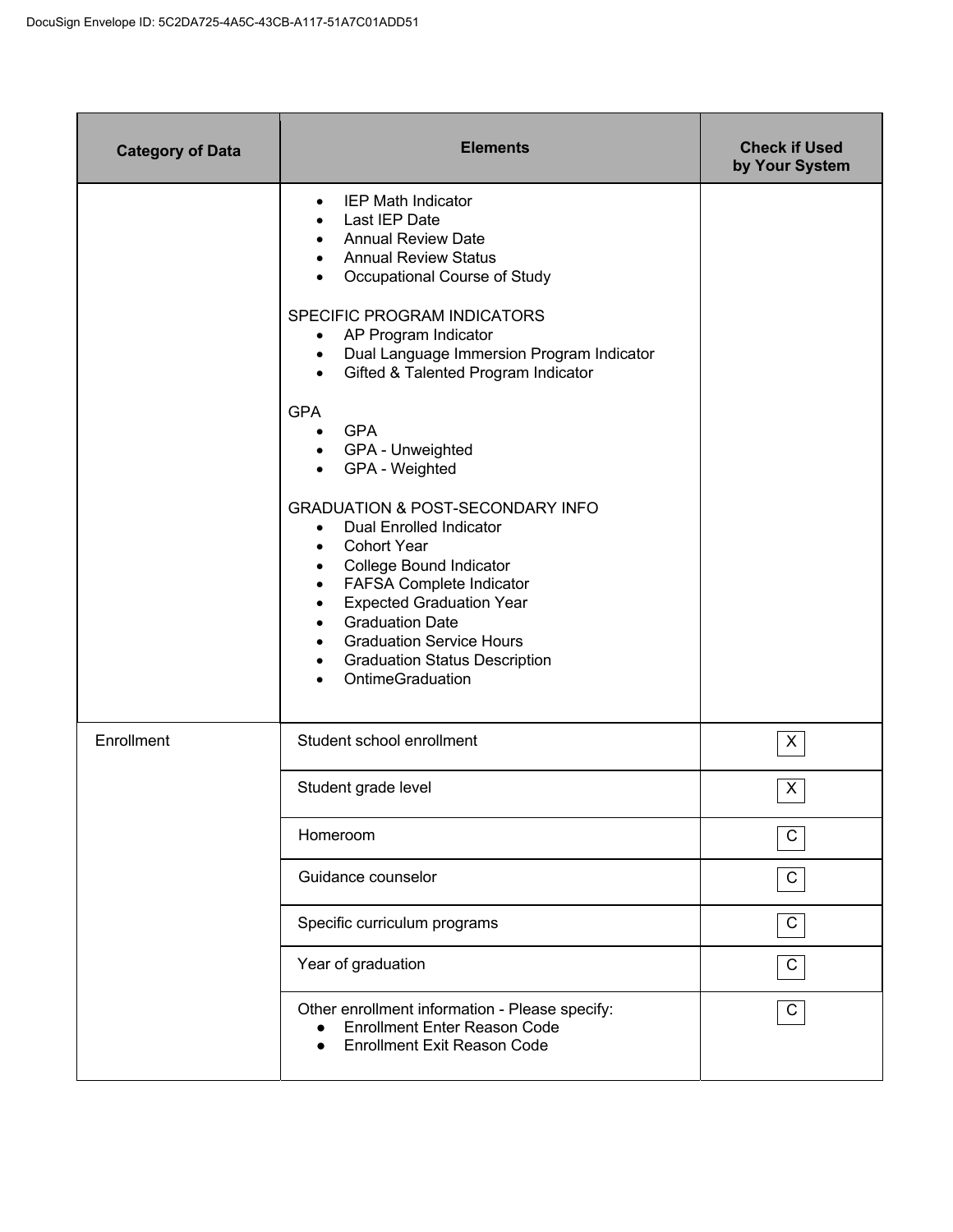| <b>Category of Data</b> | <b>Elements</b>                                                                                                                                                                                                                                                                                                                                                                                                                                                                                                                                                                                                                                                                                                                                                     | <b>Check if Used</b><br>by Your System |
|-------------------------|---------------------------------------------------------------------------------------------------------------------------------------------------------------------------------------------------------------------------------------------------------------------------------------------------------------------------------------------------------------------------------------------------------------------------------------------------------------------------------------------------------------------------------------------------------------------------------------------------------------------------------------------------------------------------------------------------------------------------------------------------------------------|----------------------------------------|
|                         | <b>IEP Math Indicator</b><br>$\bullet$<br>Last IEP Date<br><b>Annual Review Date</b><br><b>Annual Review Status</b><br>Occupational Course of Study<br>SPECIFIC PROGRAM INDICATORS<br>AP Program Indicator<br>$\bullet$<br>Dual Language Immersion Program Indicator<br>$\bullet$<br>Gifted & Talented Program Indicator<br>$\bullet$<br><b>GPA</b><br><b>GPA</b><br>$\bullet$<br>GPA - Unweighted<br>GPA - Weighted<br><b>GRADUATION &amp; POST-SECONDARY INFO</b><br>Dual Enrolled Indicator<br>$\bullet$<br><b>Cohort Year</b><br>College Bound Indicator<br>٠<br>FAFSA Complete Indicator<br>٠<br><b>Expected Graduation Year</b><br>٠<br><b>Graduation Date</b><br><b>Graduation Service Hours</b><br><b>Graduation Status Description</b><br>OntimeGraduation |                                        |
| Enrollment              | Student school enrollment                                                                                                                                                                                                                                                                                                                                                                                                                                                                                                                                                                                                                                                                                                                                           | X                                      |
|                         | Student grade level                                                                                                                                                                                                                                                                                                                                                                                                                                                                                                                                                                                                                                                                                                                                                 | X                                      |
|                         | Homeroom                                                                                                                                                                                                                                                                                                                                                                                                                                                                                                                                                                                                                                                                                                                                                            | C                                      |
|                         | Guidance counselor                                                                                                                                                                                                                                                                                                                                                                                                                                                                                                                                                                                                                                                                                                                                                  | C                                      |
|                         | Specific curriculum programs                                                                                                                                                                                                                                                                                                                                                                                                                                                                                                                                                                                                                                                                                                                                        | $\mathbf C$                            |
|                         | Year of graduation                                                                                                                                                                                                                                                                                                                                                                                                                                                                                                                                                                                                                                                                                                                                                  | C                                      |
|                         | Other enrollment information - Please specify:<br><b>Enrollment Enter Reason Code</b><br><b>Enrollment Exit Reason Code</b>                                                                                                                                                                                                                                                                                                                                                                                                                                                                                                                                                                                                                                         | C                                      |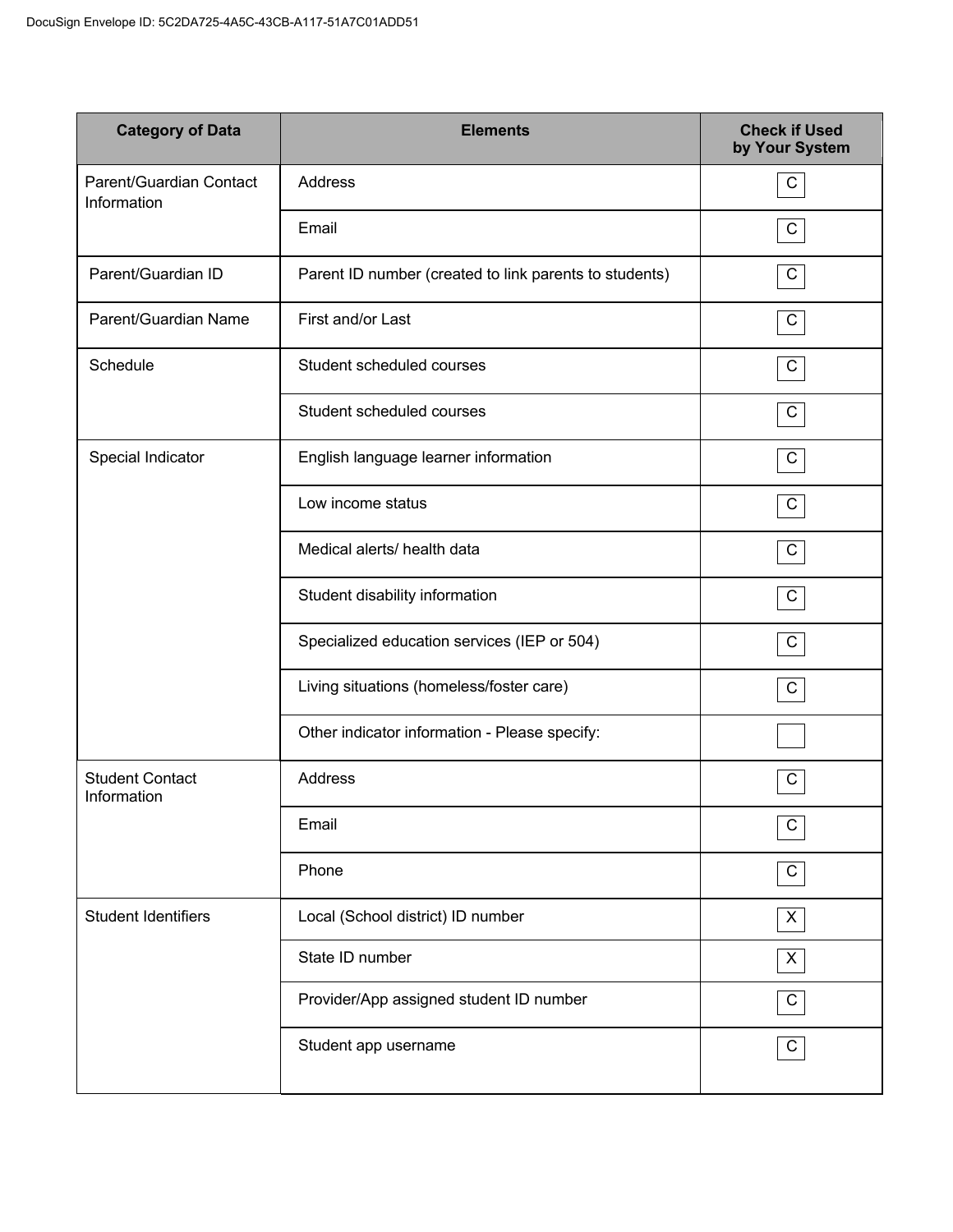| <b>Category of Data</b>                | <b>Elements</b>                                        | <b>Check if Used</b><br>by Your System |
|----------------------------------------|--------------------------------------------------------|----------------------------------------|
| Parent/Guardian Contact<br>Information | Address                                                | $\mathsf C$                            |
|                                        | Email                                                  | $\mathbf C$                            |
| Parent/Guardian ID                     | Parent ID number (created to link parents to students) | $\mathsf C$                            |
| Parent/Guardian Name                   | First and/or Last                                      | $\mathsf C$                            |
| Schedule                               | Student scheduled courses                              | C                                      |
|                                        | Student scheduled courses                              | C                                      |
| Special Indicator                      | English language learner information                   | C                                      |
|                                        | Low income status                                      | $\mathsf{C}$                           |
|                                        | Medical alerts/ health data                            | C                                      |
|                                        | Student disability information                         | C                                      |
|                                        | Specialized education services (IEP or 504)            | $\mathsf{C}$                           |
|                                        | Living situations (homeless/foster care)               | C                                      |
|                                        | Other indicator information - Please specify:          |                                        |
| <b>Student Contact</b><br>Information  | Address                                                | $\mathsf C$                            |
|                                        | Email                                                  | $\mathsf C$                            |
|                                        | Phone                                                  | $\mathsf{C}$                           |
| <b>Student Identifiers</b>             | Local (School district) ID number                      | X                                      |
|                                        | State ID number                                        | X                                      |
|                                        | Provider/App assigned student ID number                | C                                      |
|                                        | Student app username                                   | $\mathsf C$                            |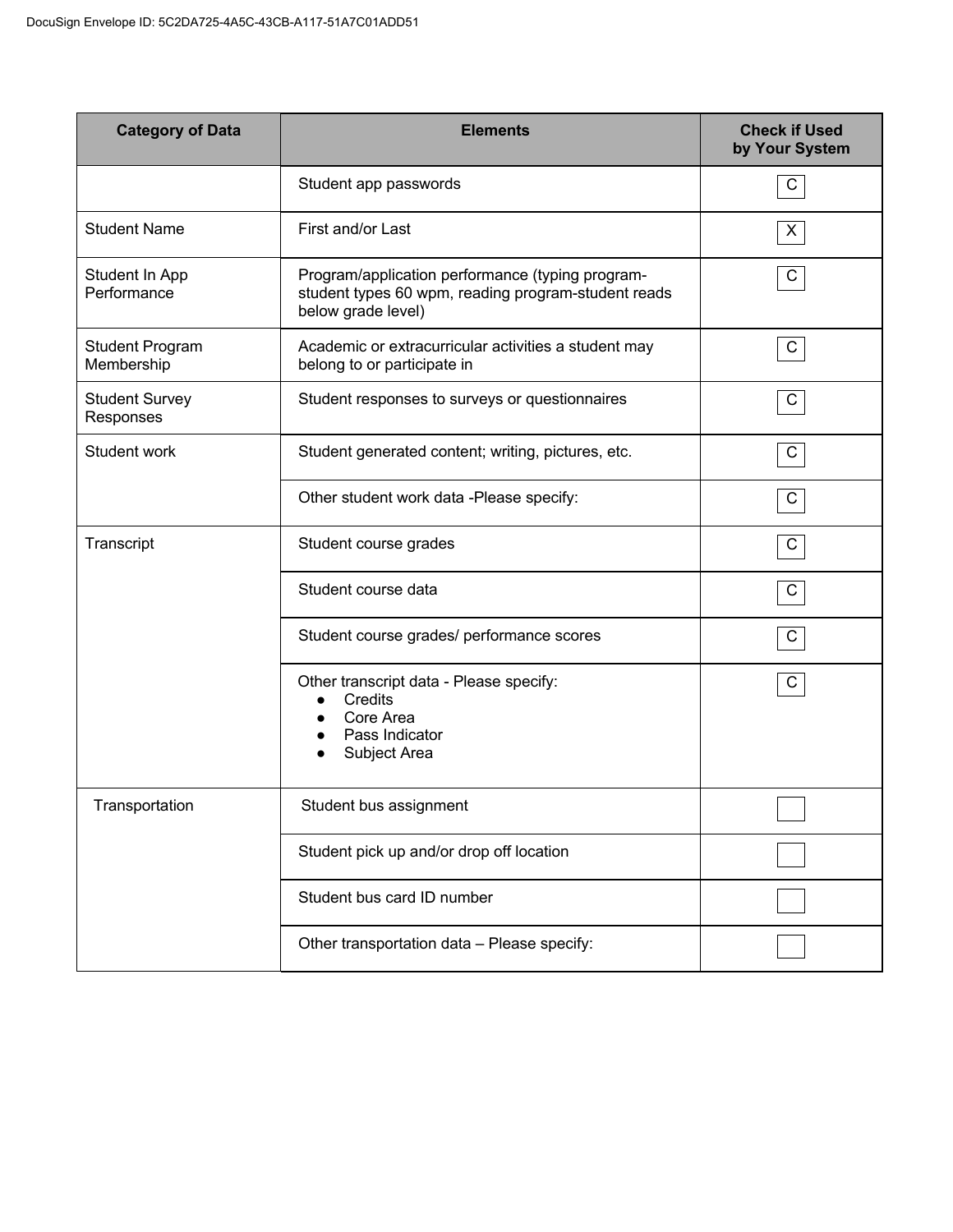| <b>Category of Data</b>              | <b>Elements</b>                                                                                                               | <b>Check if Used</b><br>by Your System |
|--------------------------------------|-------------------------------------------------------------------------------------------------------------------------------|----------------------------------------|
|                                      | Student app passwords                                                                                                         | C                                      |
| <b>Student Name</b>                  | First and/or Last                                                                                                             | X                                      |
| Student In App<br>Performance        | Program/application performance (typing program-<br>student types 60 wpm, reading program-student reads<br>below grade level) | C                                      |
| <b>Student Program</b><br>Membership | Academic or extracurricular activities a student may<br>belong to or participate in                                           | $\mathsf{C}$                           |
| <b>Student Survey</b><br>Responses   | Student responses to surveys or questionnaires                                                                                | C                                      |
| Student work                         | Student generated content; writing, pictures, etc.                                                                            | C                                      |
|                                      | Other student work data -Please specify:                                                                                      | C                                      |
| Transcript                           | Student course grades                                                                                                         | C                                      |
|                                      | Student course data                                                                                                           | C                                      |
|                                      | Student course grades/ performance scores                                                                                     | C                                      |
|                                      | Other transcript data - Please specify:<br>Credits<br>Core Area<br>Pass Indicator<br>Subject Area                             | C                                      |
| Transportation                       | Student bus assignment                                                                                                        |                                        |
|                                      | Student pick up and/or drop off location                                                                                      |                                        |
|                                      | Student bus card ID number                                                                                                    |                                        |
|                                      | Other transportation data - Please specify:                                                                                   |                                        |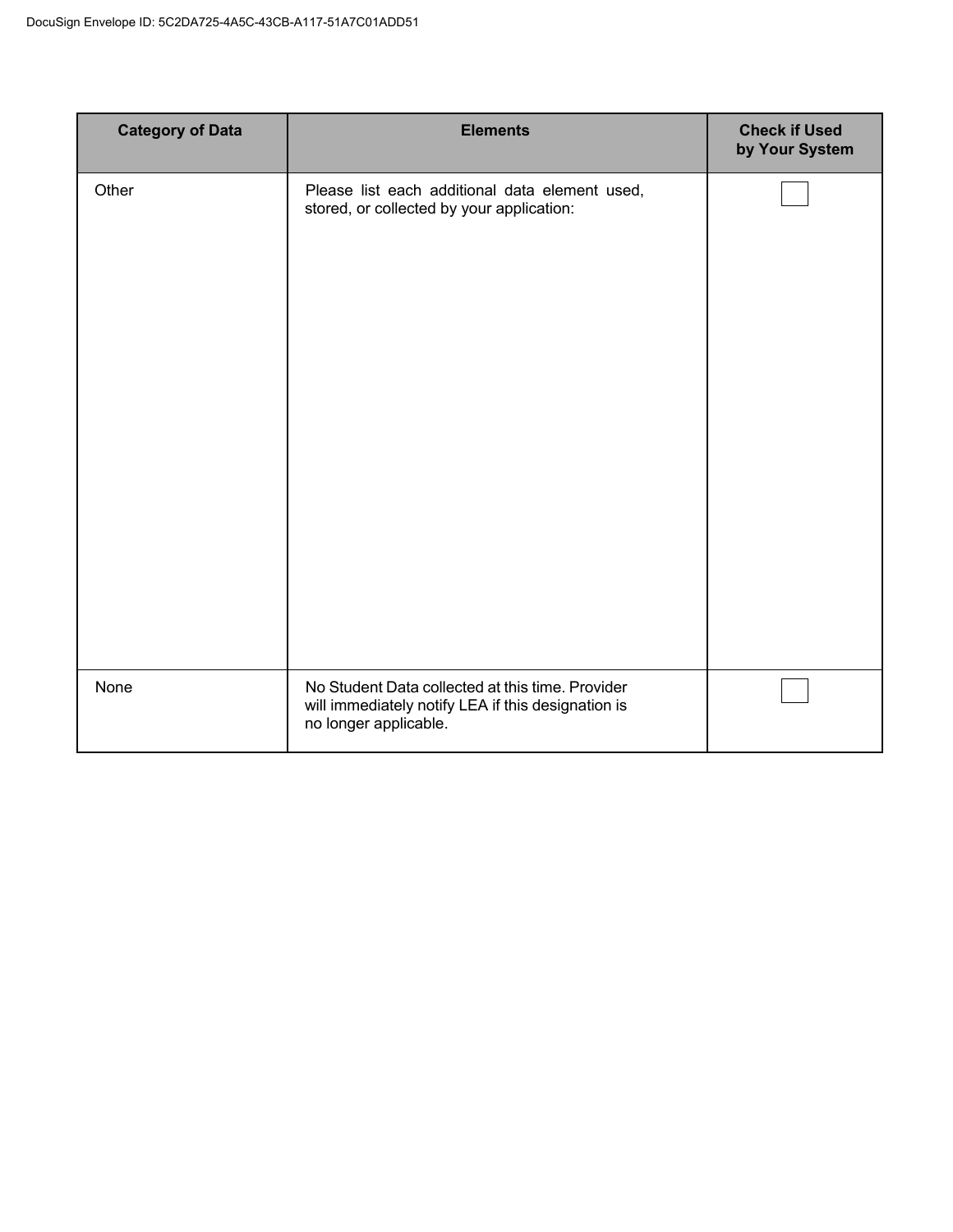| <b>Category of Data</b> | <b>Elements</b>                                                                                                                 | <b>Check if Used</b><br>by Your System |
|-------------------------|---------------------------------------------------------------------------------------------------------------------------------|----------------------------------------|
| Other                   | Please list each additional data element used,<br>stored, or collected by your application:                                     |                                        |
| None                    | No Student Data collected at this time. Provider<br>will immediately notify LEA if this designation is<br>no longer applicable. |                                        |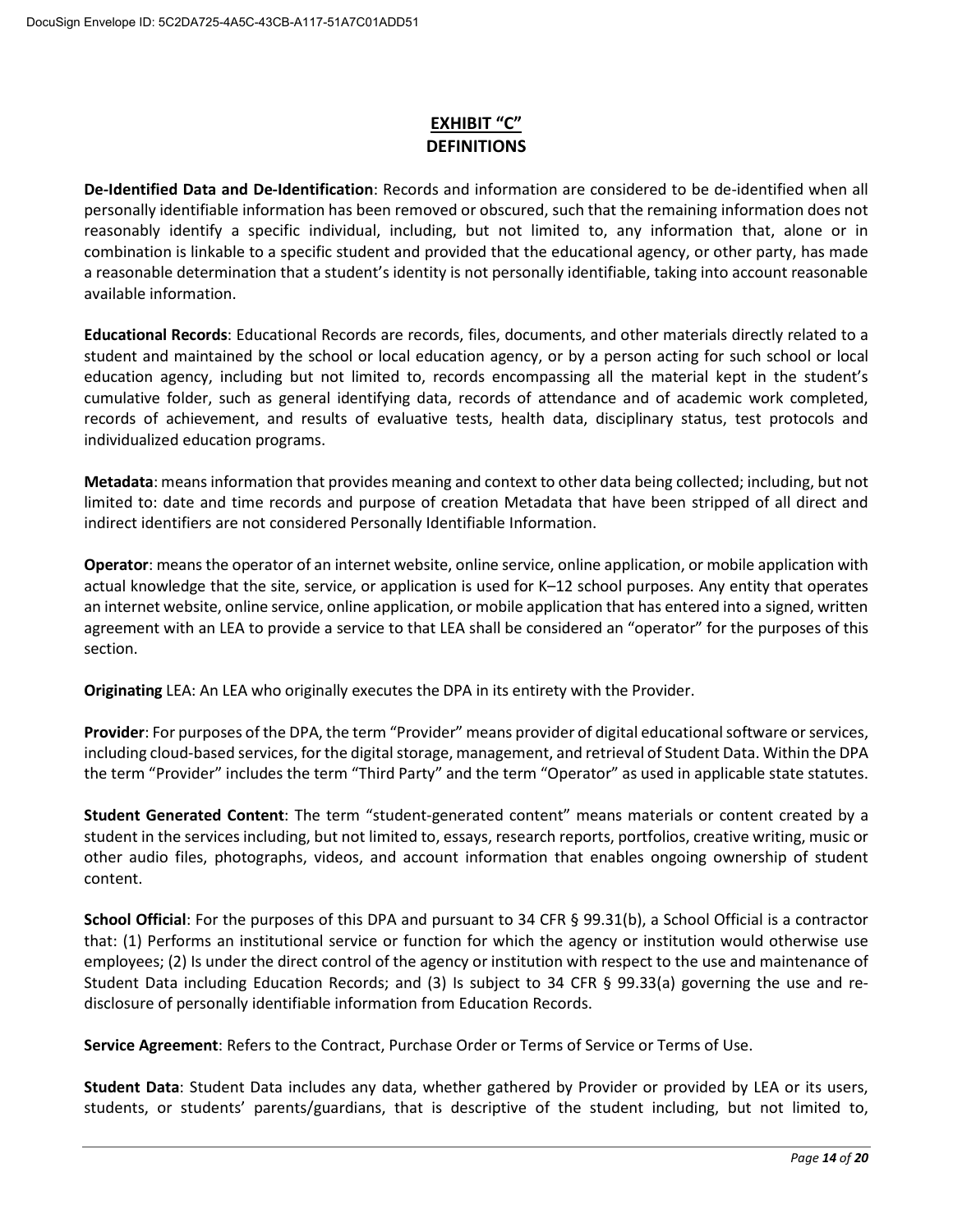## **EXHIBIT "C"**

De-Identified Data and De-Identification: Records and information are considered to be de-identified when all personally identifiable information has been removed or obscured, such that the remaining information does not reasonably identify a specific individual, including, but not limited to, any information that, alone or in combination is linkable to a specific student and provided that the educational agency, or other party, has made a reasonable determination that a student's identity is not personally identifiable, taking into account reasonable available information.

**Educational Records:** Educational Records are records, files, documents, and other materials directly related to a student and maintained by the school or local education agency, or by a person acting for such school or local education agency, including but not limited to, records encompassing all the material kept in the student's cumulative folder, such as general identifying data, records of attendance and of academic work completed, records of achievement, and results of evaluative tests, health data, disciplinary status, test protocols and individualized education programs.

Metadata: means information that provides meaning and context to other data being collected; including, but not limited to: date and time records and purpose of creation Metadata that have been stripped of all direct and indirect identifiers are not considered Personally Identifiable Information.

Operator: means the operator of an internet website, online service, online application, or mobile application with actual knowledge that the site, service, or application is used for K-12 school purposes. Any entity that operates an internet website, online service, online application, or mobile application that has entered into a signed, written agreement with an LEA to provide a service to that LEA shall be considered an "operator" for the purposes of this section.

Originating LEA: An LEA who originally executes the DPA in its entirety with the Provider.

Provider: For purposes of the DPA, the term "Provider" means provider of digital educational software or services, including cloud-based services, for the digital storage, management, and retrieval of Student Data. Within the DPA the term "Provider" includes the term "Third Party" and the term "Operator" as used in applicable state statutes.

**Student Generated Content:** The term "student-generated content" means materials or content created by a student in the services including, but not limited to, essays, research reports, portfolios, creative writing, music or other audio files, photographs, videos, and account information that enables ongoing ownership of student content.

School Official: For the purposes of this DPA and pursuant to 34 CFR § 99.31(b), a School Official is a contractor that: (1) Performs an institutional service or function for which the agency or institution would otherwise use employees; (2) Is under the direct control of the agency or institution with respect to the use and maintenance of Student Data including Education Records; and (3) Is subject to 34 CFR § 99.33(a) governing the use and redisclosure of personally identifiable information from Education Records.

Service Agreement: Refers to the Contract, Purchase Order or Terms of Service or Terms of Use.

Student Data: Student Data includes any data, whether gathered by Provider or provided by LEA or its users, students, or students' parents/guardians, that is descriptive of the student including, but not limited to,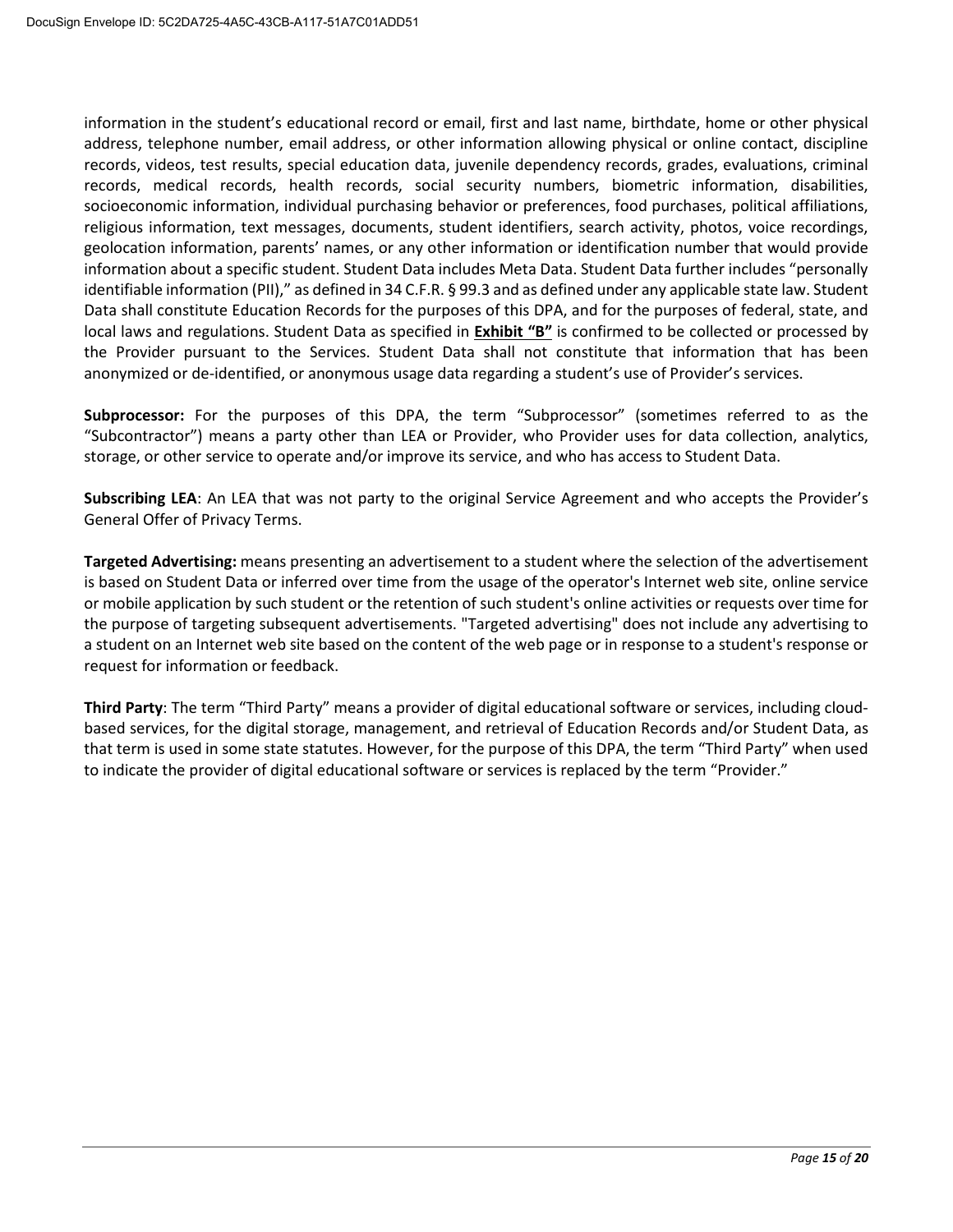information in the student's educational record or email, first and last name, birthdate, home or other physical address, telephone number, email address, or other information allowing physical or online contact, discipline records, videos, test results, special education data, juvenile dependency records, grades, evaluations, criminal records, medical records, health records, social security numbers, biometric information, disabilities, socioeconomic information, individual purchasing behavior or preferences, food purchases, political affiliations, religious information, text messages, documents, student identifiers, search activity, photos, voice recordings, geolocation information, parents' names, or any other information or identification number that would provide information about a specific student. Student Data includes Meta Data. Student Data further includes "personally identifiable information (PII)," as defined in 34 C.F.R. § 99.3 and as defined under any applicable state law. Student Data shall constitute Education Records for the purposes of this DPA, and for the purposes of federal, state, and local laws and regulations. Student Data as specified in Exhibit "B" is confirmed to be collected or processed by the Provider pursuant to the Services. Student Data shall not constitute that information that has been anonymized or de-identified, or anonymous usage data regarding a student's use of Provider's services.

Subprocessor: For the purposes of this DPA, the term "Subprocessor" (sometimes referred to as the "Subcontractor") means a party other than LEA or Provider, who Provider uses for data collection, analytics, storage, or other service to operate and/or improve its service, and who has access to Student Data.

Subscribing LEA: An LEA that was not party to the original Service Agreement and who accepts the Provider's General Offer of Privacy Terms.

Targeted Advertising: means presenting an advertisement to a student where the selection of the advertisement is based on Student Data or inferred over time from the usage of the operator's Internet web site, online service or mobile application by such student or the retention of such student's online activities or requests over time for the purpose of targeting subsequent advertisements. "Targeted advertising" does not include any advertising to a student on an Internet web site based on the content of the web page or in response to a student's response or request for information or feedback.

Third Party: The term "Third Party" means a provider of digital educational software or services, including cloudbased services, for the digital storage, management, and retrieval of Education Records and/or Student Data, as that term is used in some state statutes. However, for the purpose of this DPA, the term "Third Party" when used to indicate the provider of digital educational software or services is replaced by the term "Provider."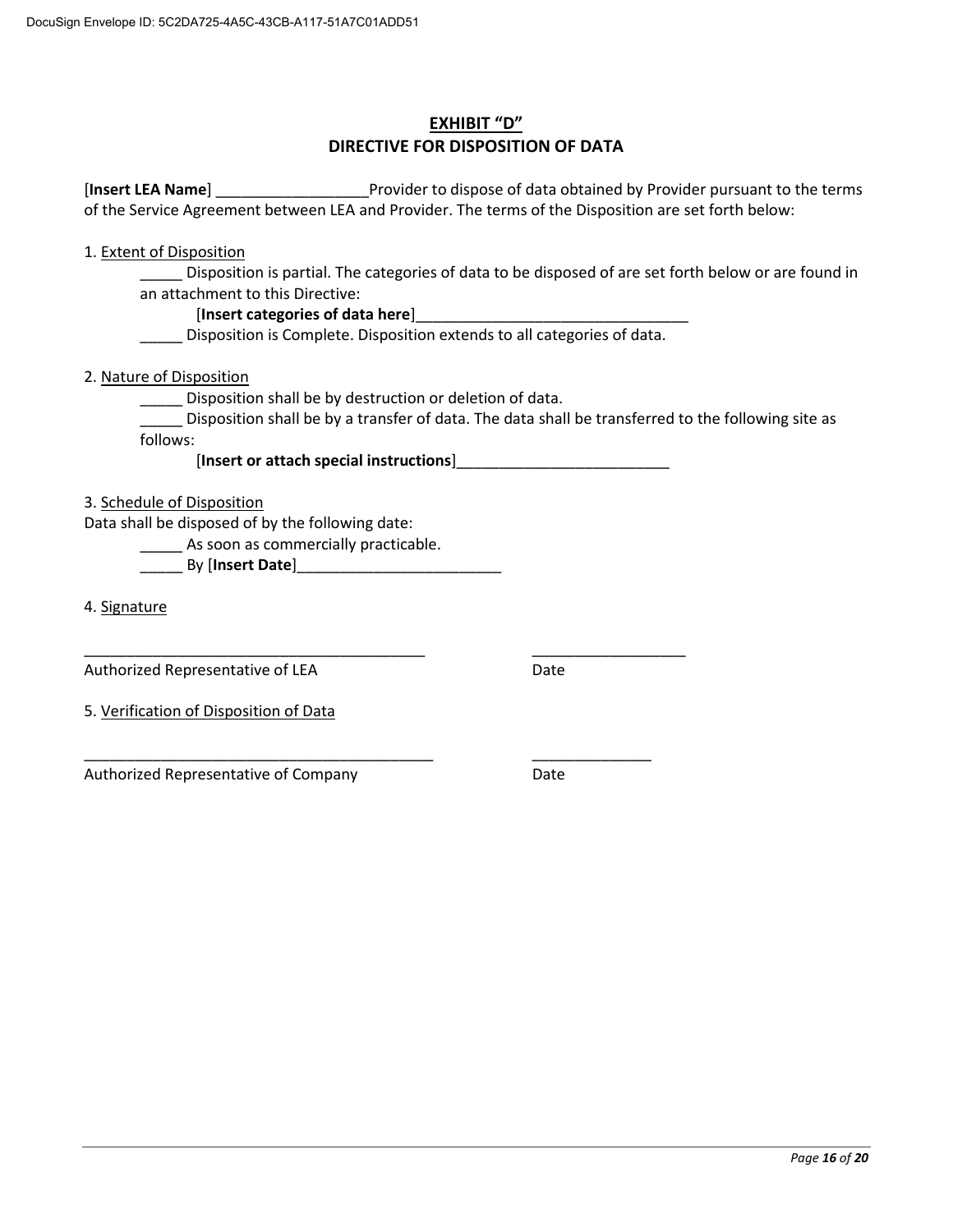## **EXHIBIT "D"** DIRECTIVE FOR DISPOSITION OF DATA

[Insert LEA Name] Trovider to dispose of data obtained by Provider pursuant to the terms of the Service Agreement between LEA and Provider. The terms of the Disposition are set forth below:

1. Extent of Disposition

Disposition is partial. The categories of data to be disposed of are set forth below or are found in an attachment to this Directive:

### [Insert categories of data here]

Disposition is Complete. Disposition extends to all categories of data.

2. Nature of Disposition

\_\_\_\_ Disposition shall be by destruction or deletion of data.

Disposition shall be by a transfer of data. The data shall be transferred to the following site as follows:

3. Schedule of Disposition

Data shall be disposed of by the following date:

\_\_\_\_\_\_ As soon as commercially practicable.

4. Signature

Authorized Representative of LEA

Date

5. Verification of Disposition of Data

Authorized Representative of Company

Date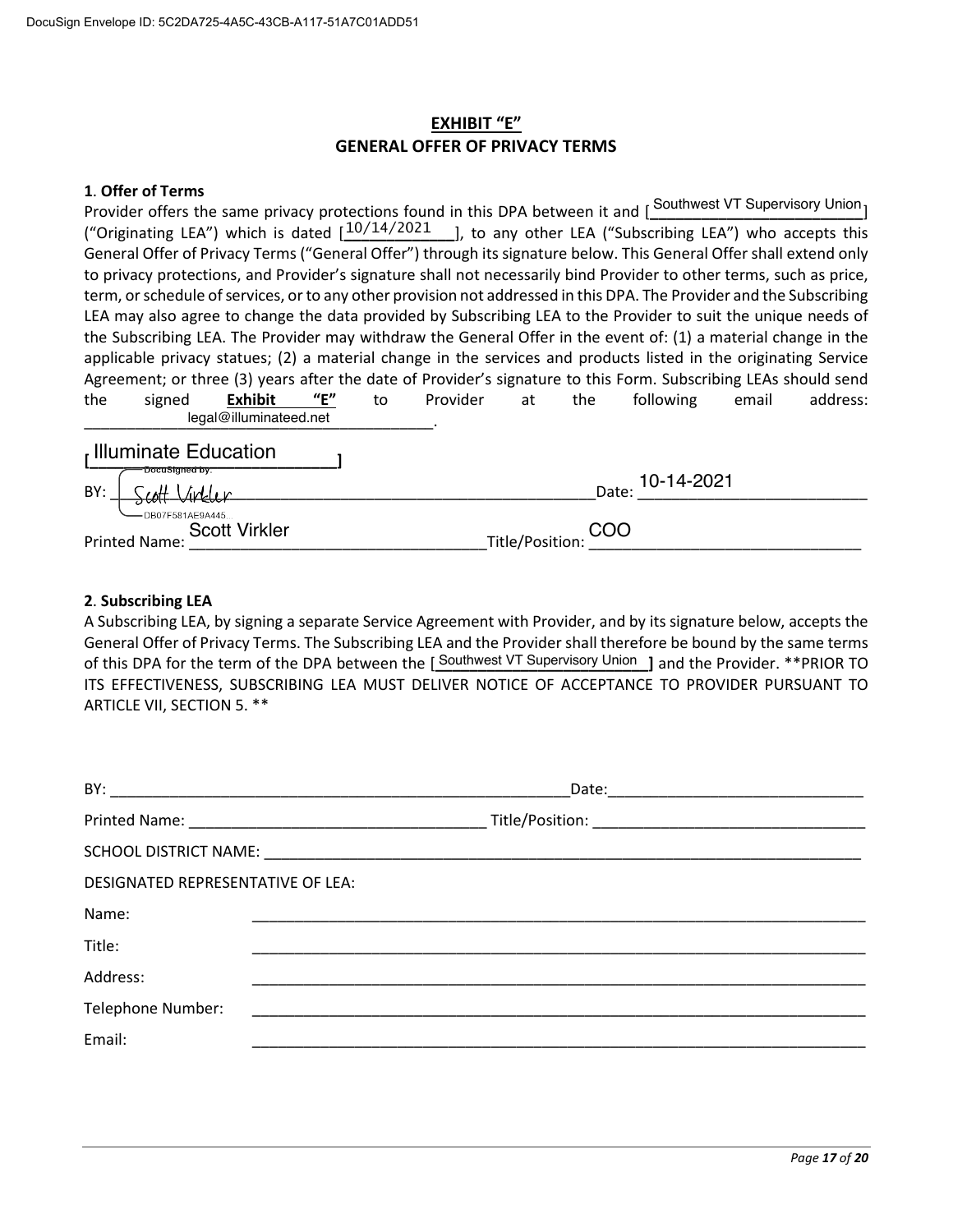## **EXHIBIT "E" GENERAL OFFER OF PRIVACY TERMS**

#### 1. Offer of Terms

Provider offers the same privacy protections found in this DPA between it and [Southwest VT Supervisory Union] ("Originating LEA") which is dated  $1^{10/14/2021}$  1, to any other LEA ("Subscribing LEA") who accepts this General Offer of Privacy Terms ("General Offer") through its signature below. This General Offer shall extend only to privacy protections, and Provider's signature shall not necessarily bind Provider to other terms, such as price, term, or schedule of services, or to any other provision not addressed in this DPA. The Provider and the Subscribing LEA may also agree to change the data provided by Subscribing LEA to the Provider to suit the unique needs of the Subscribing LEA. The Provider may withdraw the General Offer in the event of: (1) a material change in the applicable privacy statues; (2) a material change in the services and products listed in the originating Service Agreement; or three (3) years after the date of Provider's signature to this Form. Subscribing LEAs should send the signed **Exhibit**  $^{\prime\prime}$ E"  $t_0$ Provider  $at$ the following email address: legal@illuminateed.net Illuminate Education  $\mathbf{I}$ 

| "DocuSigned by:<br>BY:<br><u>Linkler</u><br>$\rightarrow$ cott | 10-14-2021<br>Date: |
|----------------------------------------------------------------|---------------------|
| - DB07F581AE9A445<br><b>Scott Virkler</b><br>Printed Name:     | Title/Position: COO |

#### 2. Subscribing LEA

A Subscribing LEA, by signing a separate Service Agreement with Provider, and by its signature below, accepts the General Offer of Privacy Terms. The Subscribing LEA and the Provider shall therefore be bound by the same terms of this DPA for the term of the DPA between the [Southwest VT Supervisory Union ] and the Provider. \*\*PRIOR TO ITS EFFECTIVENESS, SUBSCRIBING LEA MUST DELIVER NOTICE OF ACCEPTANCE TO PROVIDER PURSUANT TO ARTICLE VII, SECTION 5. \*\*

|                                          | Date: the contract of the contract of the contract of the contract of the contract of the contract of the contract of the contract of the contract of the contract of the contract of the contract of the contract of the cont |  |
|------------------------------------------|--------------------------------------------------------------------------------------------------------------------------------------------------------------------------------------------------------------------------------|--|
|                                          |                                                                                                                                                                                                                                |  |
|                                          | SCHOOL DISTRICT NAME: And the state of the state of the state of the state of the state of the state of the state of the state of the state of the state of the state of the state of the state of the state of the state of t |  |
| <b>DESIGNATED REPRESENTATIVE OF LEA:</b> |                                                                                                                                                                                                                                |  |
| Name:                                    |                                                                                                                                                                                                                                |  |
| Title:                                   |                                                                                                                                                                                                                                |  |
| Address:                                 |                                                                                                                                                                                                                                |  |
| Telephone Number:                        |                                                                                                                                                                                                                                |  |
| Email:                                   |                                                                                                                                                                                                                                |  |
|                                          |                                                                                                                                                                                                                                |  |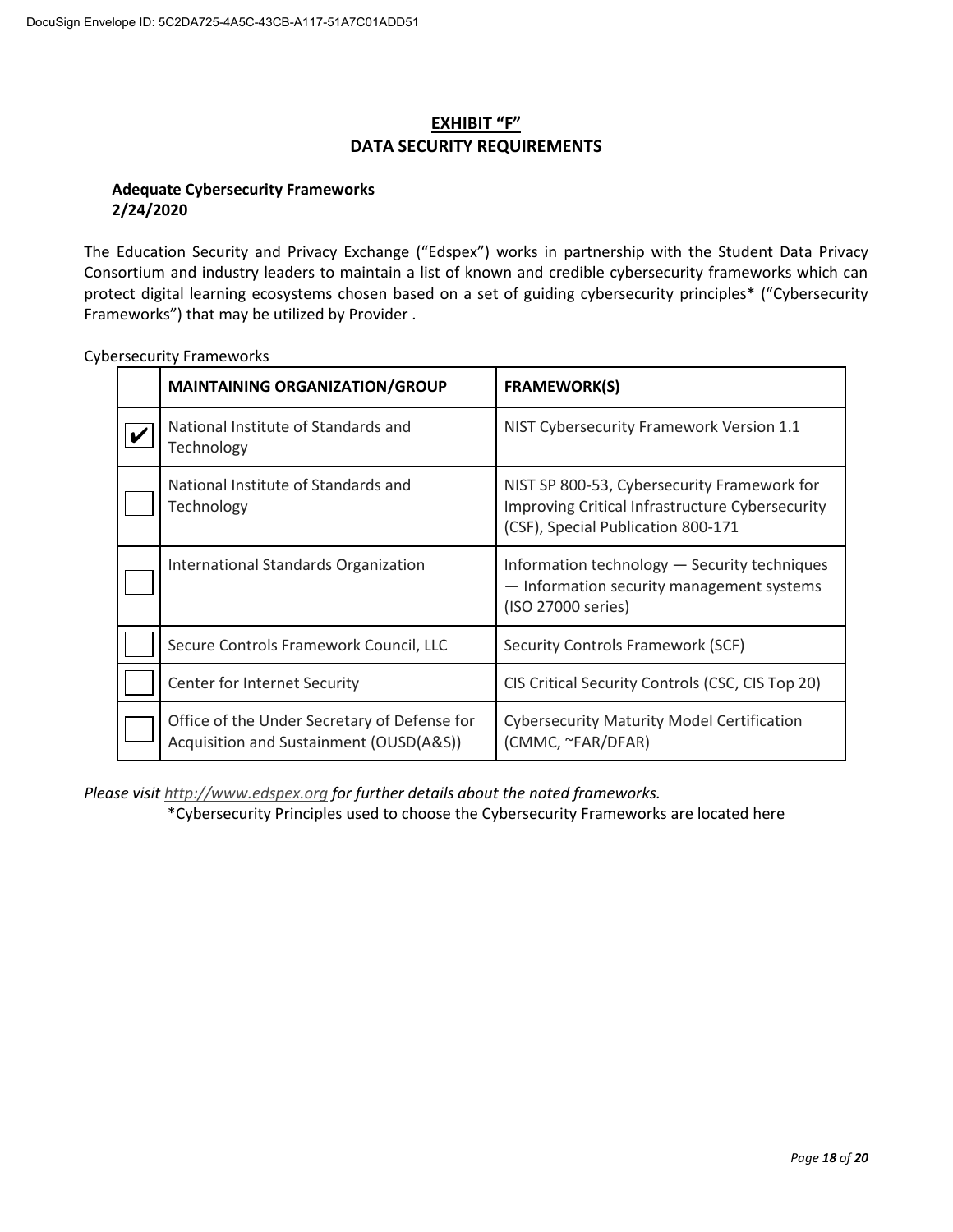## **EXHIBIT "F" DATA SECURITY REQUIREMENTS**

### **Adequate Cybersecurity Frameworks** 2/24/2020

The Education Security and Privacy Exchange ("Edspex") works in partnership with the Student Data Privacy Consortium and industry leaders to maintain a list of known and credible cybersecurity frameworks which can protect digital learning ecosystems chosen based on a set of guiding cybersecurity principles\* ("Cybersecurity Frameworks") that may be utilized by Provider.

| <b>MAINTAINING ORGANIZATION/GROUP</b>                                                   | <b>FRAMEWORK(S)</b>                                                                                                                         |
|-----------------------------------------------------------------------------------------|---------------------------------------------------------------------------------------------------------------------------------------------|
| National Institute of Standards and<br>Technology                                       | NIST Cybersecurity Framework Version 1.1                                                                                                    |
| National Institute of Standards and<br>Technology                                       | NIST SP 800-53, Cybersecurity Framework for<br><b>Improving Critical Infrastructure Cybersecurity</b><br>(CSF), Special Publication 800-171 |
| International Standards Organization                                                    | Information technology - Security techniques<br>- Information security management systems<br>(ISO 27000 series)                             |
| Secure Controls Framework Council, LLC                                                  | Security Controls Framework (SCF)                                                                                                           |
| Center for Internet Security                                                            | CIS Critical Security Controls (CSC, CIS Top 20)                                                                                            |
| Office of the Under Secretary of Defense for<br>Acquisition and Sustainment (OUSD(A&S)) | <b>Cybersecurity Maturity Model Certification</b><br>(CMMC, ~FAR/DFAR)                                                                      |

**Cybersecurity Frameworks** 

Please visit http://www.edspex.org for further details about the noted frameworks.

\*Cybersecurity Principles used to choose the Cybersecurity Frameworks are located here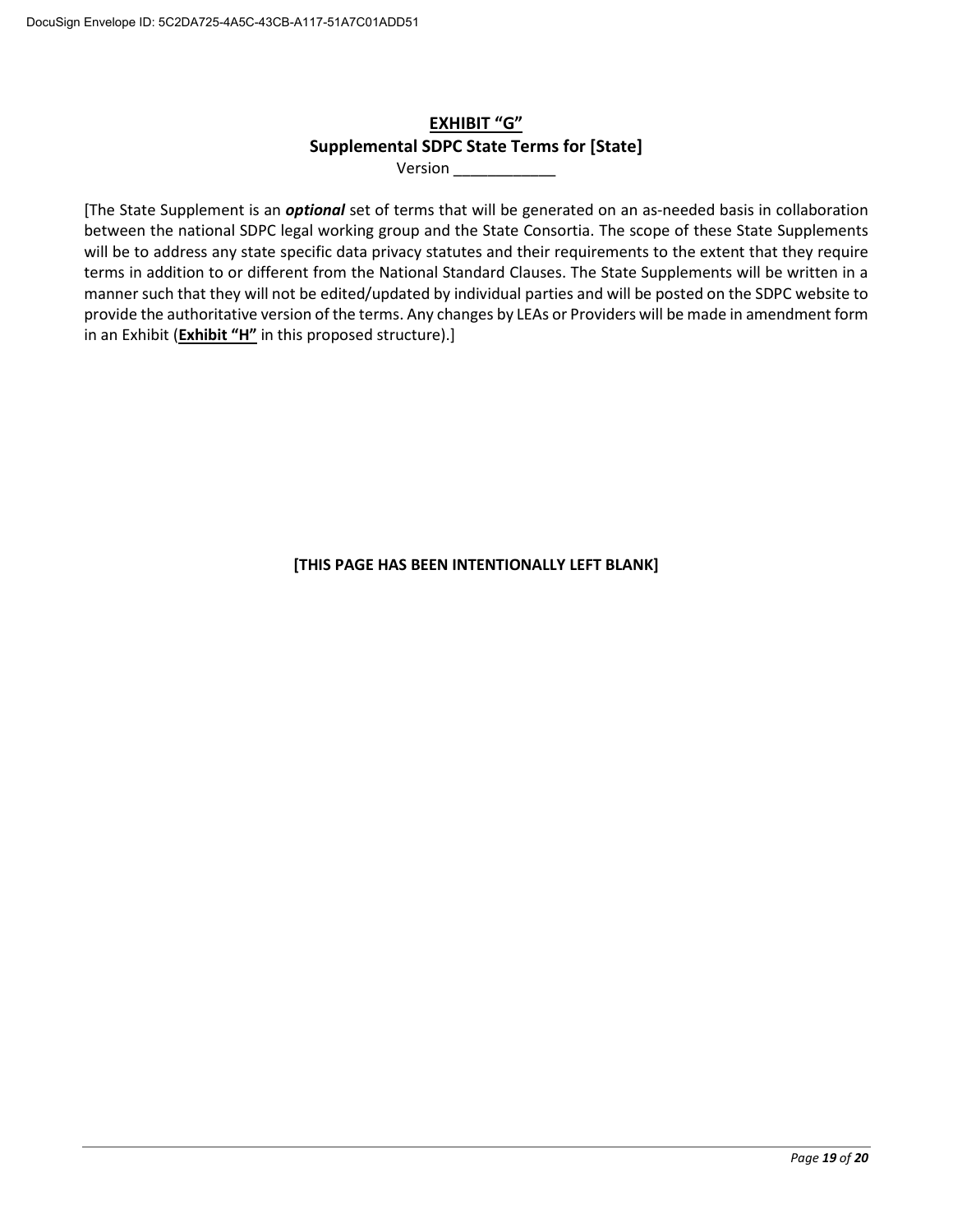## **EXHIBIT "G" Supplemental SDPC State Terms for [State]**

Version

[The State Supplement is an *optional* set of terms that will be generated on an as-needed basis in collaboration between the national SDPC legal working group and the State Consortia. The scope of these State Supplements will be to address any state specific data privacy statutes and their requirements to the extent that they require terms in addition to or different from the National Standard Clauses. The State Supplements will be written in a manner such that they will not be edited/updated by individual parties and will be posted on the SDPC website to provide the authoritative version of the terms. Any changes by LEAs or Providers will be made in amendment form in an Exhibit (Exhibit "H" in this proposed structure).]

[THIS PAGE HAS BEEN INTENTIONALLY LEFT BLANK]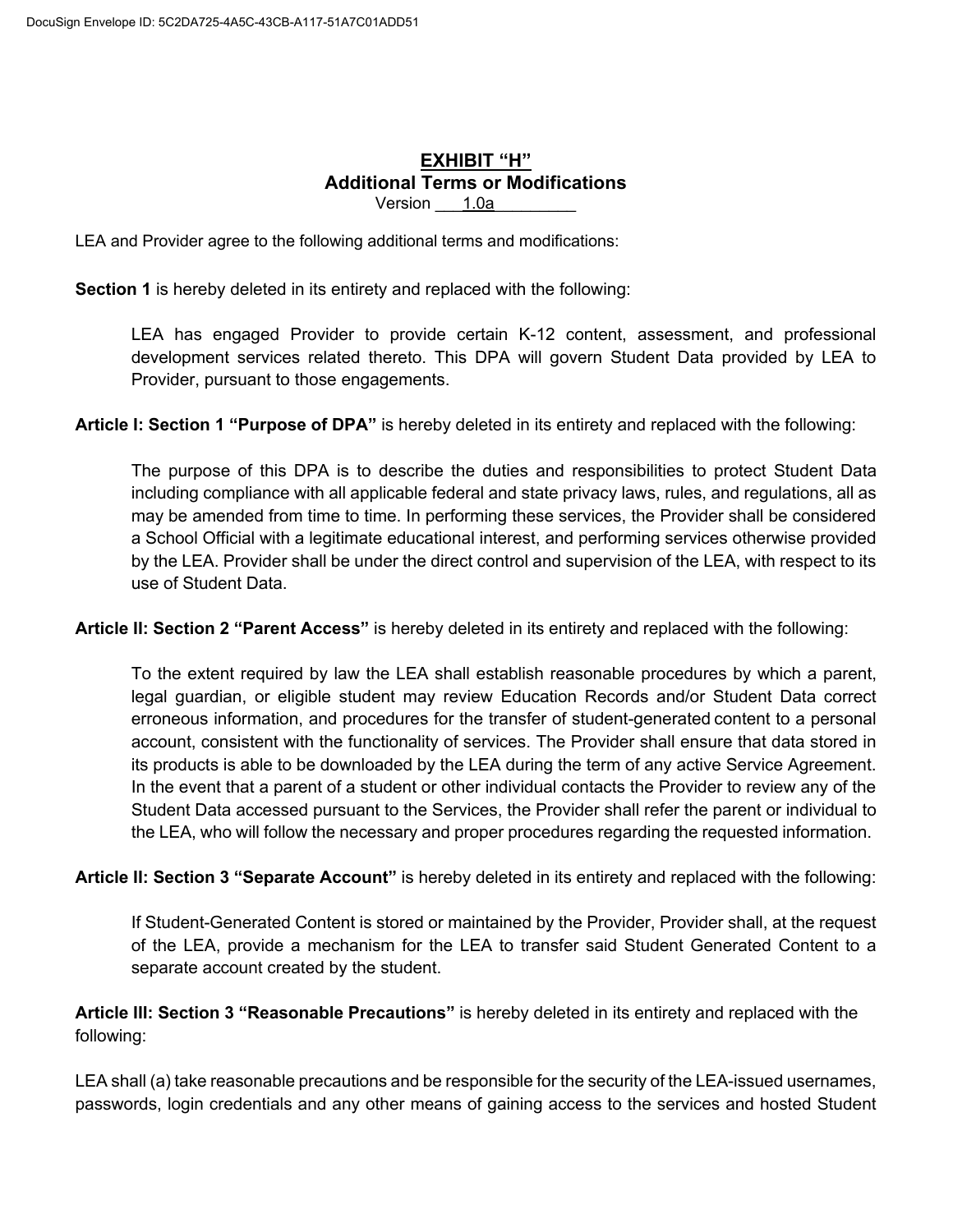### EXHIBIT "H" **Additional Terms or Modifications** Version 1.0a

LEA and Provider agree to the following additional terms and modifications:

Section 1 is hereby deleted in its entirety and replaced with the following:

LEA has engaged Provider to provide certain K-12 content, assessment, and professional development services related thereto. This DPA will govern Student Data provided by LEA to Provider, pursuant to those engagements.

Article I: Section 1 "Purpose of DPA" is hereby deleted in its entirety and replaced with the following:

The purpose of this DPA is to describe the duties and responsibilities to protect Student Data including compliance with all applicable federal and state privacy laws, rules, and regulations, all as may be amended from time to time. In performing these services, the Provider shall be considered a School Official with a legitimate educational interest, and performing services otherwise provided by the LEA. Provider shall be under the direct control and supervision of the LEA, with respect to its use of Student Data.

Article II: Section 2 "Parent Access" is hereby deleted in its entirety and replaced with the following:

To the extent required by law the LEA shall establish reasonable procedures by which a parent, legal guardian, or eligible student may review Education Records and/or Student Data correct erroneous information, and procedures for the transfer of student-generated content to a personal account, consistent with the functionality of services. The Provider shall ensure that data stored in its products is able to be downloaded by the LEA during the term of any active Service Agreement. In the event that a parent of a student or other individual contacts the Provider to review any of the Student Data accessed pursuant to the Services, the Provider shall refer the parent or individual to the LEA, who will follow the necessary and proper procedures regarding the requested information.

Article II: Section 3 "Separate Account" is hereby deleted in its entirety and replaced with the following:

If Student-Generated Content is stored or maintained by the Provider, Provider shall, at the request of the LEA, provide a mechanism for the LEA to transfer said Student Generated Content to a separate account created by the student.

Article III: Section 3 "Reasonable Precautions" is hereby deleted in its entirety and replaced with the following:

LEA shall (a) take reasonable precautions and be responsible for the security of the LEA-issued usernames, passwords, login credentials and any other means of gaining access to the services and hosted Student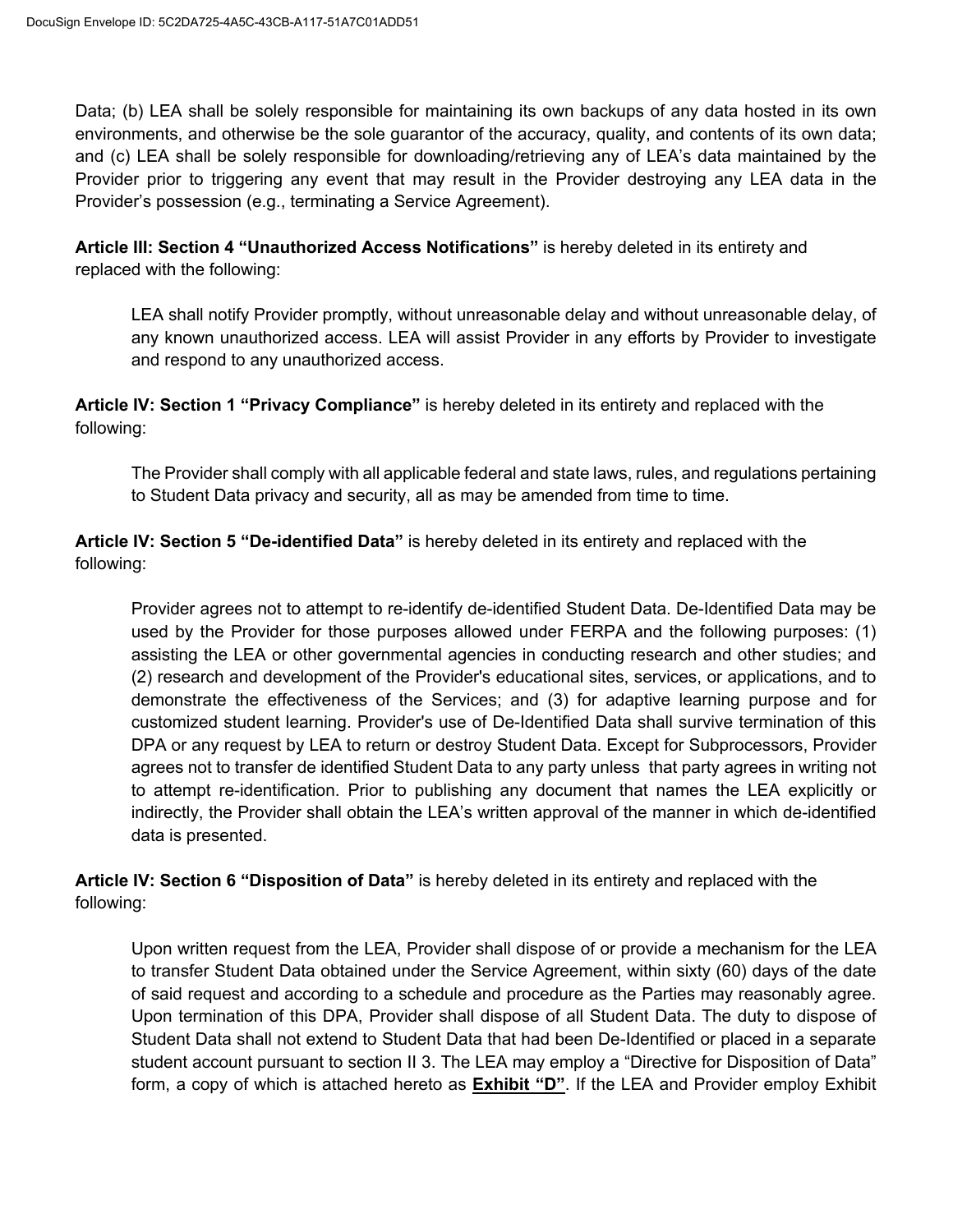Data; (b) LEA shall be solely responsible for maintaining its own backups of any data hosted in its own environments, and otherwise be the sole guarantor of the accuracy, quality, and contents of its own data; and (c) LEA shall be solely responsible for downloading/retrieving any of LEA's data maintained by the Provider prior to triggering any event that may result in the Provider destroying any LEA data in the Provider's possession (e.g., terminating a Service Agreement).

Article III: Section 4 "Unauthorized Access Notifications" is hereby deleted in its entirety and replaced with the following:

LEA shall notify Provider promptly, without unreasonable delay and without unreasonable delay, of any known unauthorized access. LEA will assist Provider in any efforts by Provider to investigate and respond to any unauthorized access.

Article IV: Section 1 "Privacy Compliance" is hereby deleted in its entirety and replaced with the following:

The Provider shall comply with all applicable federal and state laws, rules, and regulations pertaining to Student Data privacy and security, all as may be amended from time to time.

Article IV: Section 5 "De-identified Data" is hereby deleted in its entirety and replaced with the following:

Provider agrees not to attempt to re-identify de-identified Student Data. De-Identified Data may be used by the Provider for those purposes allowed under FERPA and the following purposes: (1) assisting the LEA or other governmental agencies in conducting research and other studies; and (2) research and development of the Provider's educational sites, services, or applications, and to demonstrate the effectiveness of the Services; and (3) for adaptive learning purpose and for customized student learning. Provider's use of De-Identified Data shall survive termination of this DPA or any request by LEA to return or destroy Student Data. Except for Subprocessors, Provider agrees not to transfer de identified Student Data to any party unless that party agrees in writing not to attempt re-identification. Prior to publishing any document that names the LEA explicitly or indirectly, the Provider shall obtain the LEA's written approval of the manner in which de-identified data is presented.

Article IV: Section 6 "Disposition of Data" is hereby deleted in its entirety and replaced with the following:

Upon written request from the LEA, Provider shall dispose of or provide a mechanism for the LEA to transfer Student Data obtained under the Service Agreement, within sixty (60) days of the date of said request and according to a schedule and procedure as the Parties may reasonably agree. Upon termination of this DPA, Provider shall dispose of all Student Data. The duty to dispose of Student Data shall not extend to Student Data that had been De-Identified or placed in a separate student account pursuant to section II 3. The LEA may employ a "Directive for Disposition of Data" form, a copy of which is attached hereto as **Exhibit "D"**. If the LEA and Provider employ Exhibit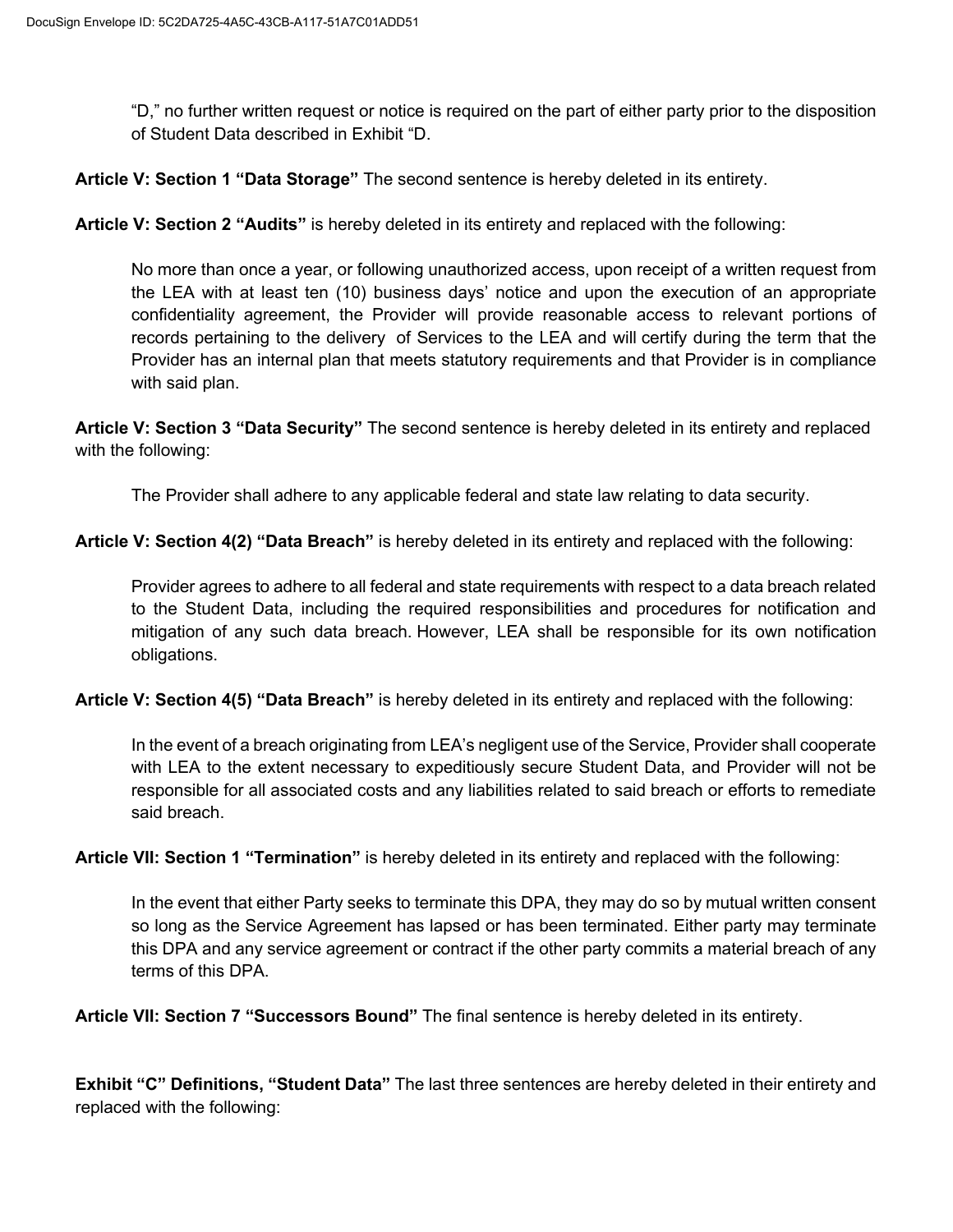"D," no further written request or notice is required on the part of either party prior to the disposition of Student Data described in Exhibit "D.

Article V: Section 1 "Data Storage" The second sentence is hereby deleted in its entirety.

Article V: Section 2 "Audits" is hereby deleted in its entirety and replaced with the following:

No more than once a year, or following unauthorized access, upon receipt of a written request from the LEA with at least ten (10) business days' notice and upon the execution of an appropriate confidentiality agreement, the Provider will provide reasonable access to relevant portions of records pertaining to the delivery of Services to the LEA and will certify during the term that the Provider has an internal plan that meets statutory requirements and that Provider is in compliance with said plan.

Article V: Section 3 "Data Security" The second sentence is hereby deleted in its entirety and replaced with the following:

The Provider shall adhere to any applicable federal and state law relating to data security.

Article V: Section 4(2) "Data Breach" is hereby deleted in its entirety and replaced with the following:

Provider agrees to adhere to all federal and state requirements with respect to a data breach related to the Student Data, including the required responsibilities and procedures for notification and mitigation of any such data breach. However, LEA shall be responsible for its own notification obligations.

Article V: Section 4(5) "Data Breach" is hereby deleted in its entirety and replaced with the following:

In the event of a breach originating from LEA's negligent use of the Service, Provider shall cooperate with LEA to the extent necessary to expeditiously secure Student Data, and Provider will not be responsible for all associated costs and any liabilities related to said breach or efforts to remediate said breach.

Article VII: Section 1 "Termination" is hereby deleted in its entirety and replaced with the following:

In the event that either Party seeks to terminate this DPA, they may do so by mutual written consent so long as the Service Agreement has lapsed or has been terminated. Either party may terminate this DPA and any service agreement or contract if the other party commits a material breach of any terms of this DPA

Article VII: Section 7 "Successors Bound" The final sentence is hereby deleted in its entirety.

Exhibit "C" Definitions, "Student Data" The last three sentences are hereby deleted in their entirety and replaced with the following: